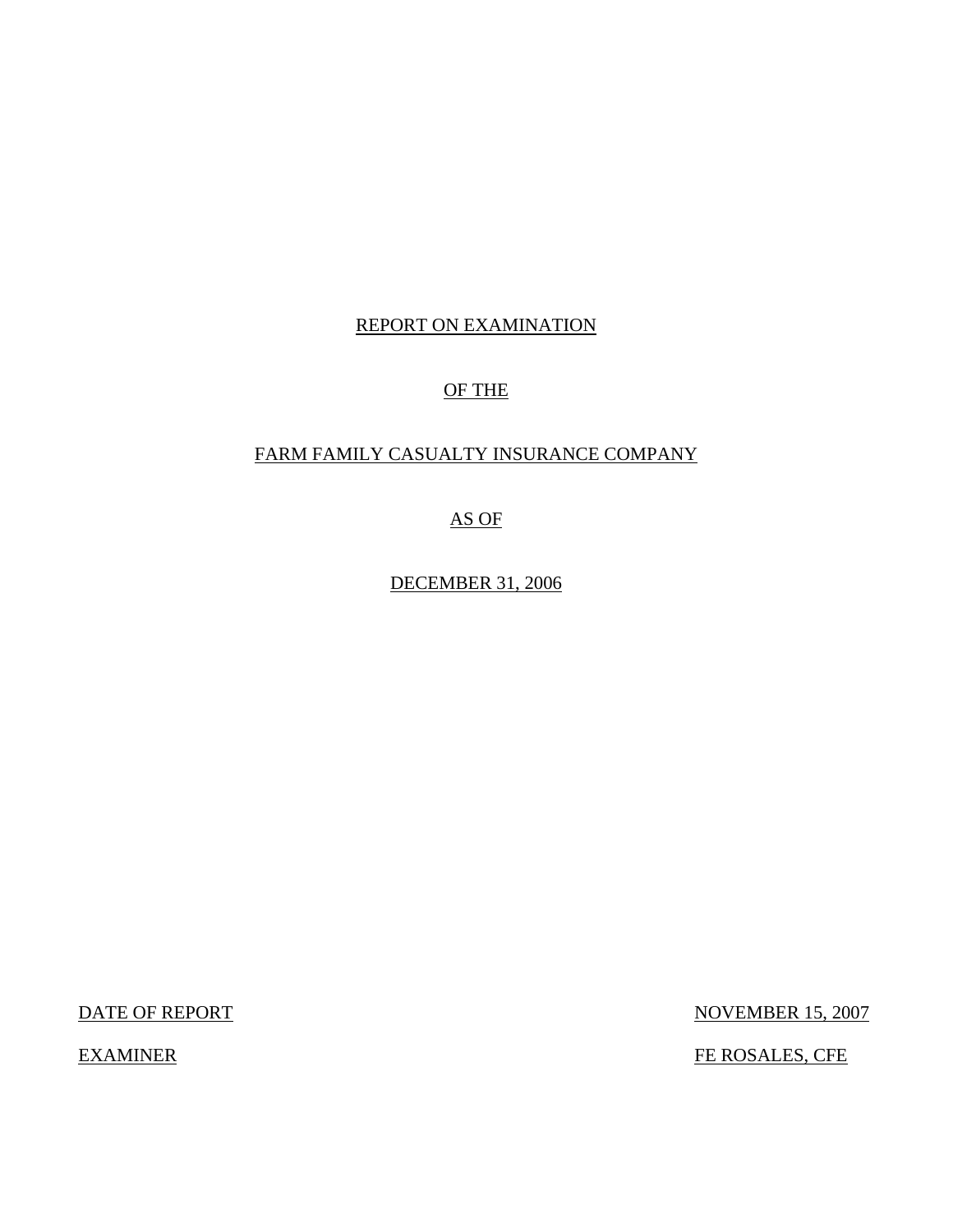# REPORT ON EXAMINATION

# OF THE

## FARM FAMILY CASUALTY INSURANCE COMPANY

AS OF

DECEMBER 31, 2006

DATE OF REPORT NOVEMBER 15, 2007

EXAMINER FE ROSALES, CFE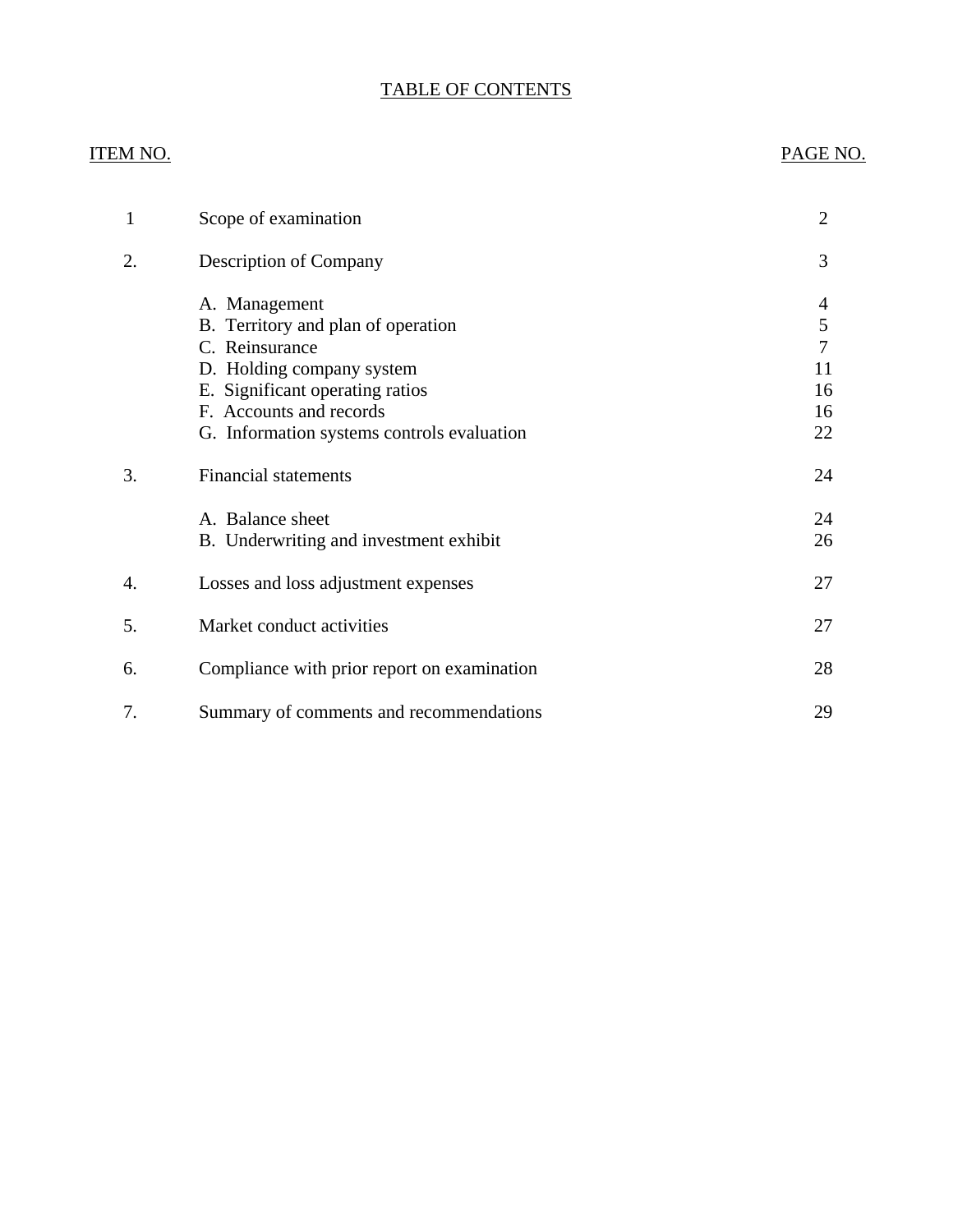# TABLE OF CONTENTS

# ITEM NO. PAGE NO.

| 1  | Scope of examination                                                                                                                                                                                           | $\overline{2}$                                   |
|----|----------------------------------------------------------------------------------------------------------------------------------------------------------------------------------------------------------------|--------------------------------------------------|
| 2. | <b>Description of Company</b>                                                                                                                                                                                  | 3                                                |
|    | A. Management<br>B. Territory and plan of operation<br>C. Reinsurance<br>D. Holding company system<br>E. Significant operating ratios<br>F. Accounts and records<br>G. Information systems controls evaluation | 4<br>5<br>$\overline{7}$<br>11<br>16<br>16<br>22 |
| 3. | <b>Financial statements</b>                                                                                                                                                                                    | 24                                               |
|    | A. Balance sheet<br>B. Underwriting and investment exhibit                                                                                                                                                     | 24<br>26                                         |
| 4. | Losses and loss adjustment expenses                                                                                                                                                                            | 27                                               |
| 5. | Market conduct activities                                                                                                                                                                                      | 27                                               |
| 6. | Compliance with prior report on examination                                                                                                                                                                    | 28                                               |
| 7. | Summary of comments and recommendations                                                                                                                                                                        | 29                                               |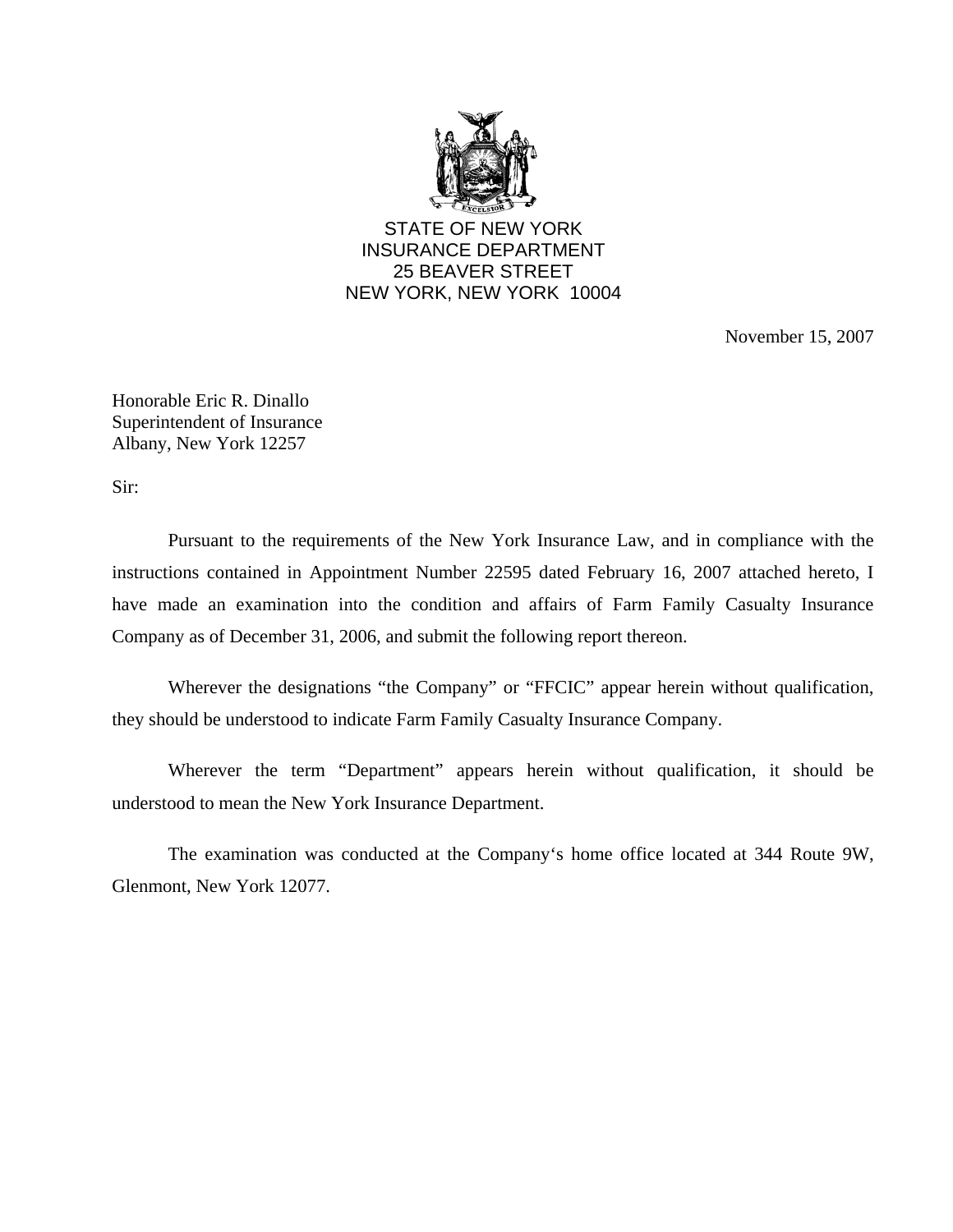

STATE OF NEW YORK INSURANCE DEPARTMENT 25 BEAVER STREET NEW YORK, NEW YORK 10004

November 15, 2007

Honorable Eric R. Dinallo Superintendent of Insurance Albany, New York 12257

Sir:

Pursuant to the requirements of the New York Insurance Law, and in compliance with the instructions contained in Appointment Number 22595 dated February 16, 2007 attached hereto, I have made an examination into the condition and affairs of Farm Family Casualty Insurance Company as of December 31, 2006, and submit the following report thereon.

Wherever the designations "the Company" or "FFCIC" appear herein without qualification, they should be understood to indicate Farm Family Casualty Insurance Company.

Wherever the term "Department" appears herein without qualification, it should be understood to mean the New York Insurance Department.

The examination was conducted at the Company's home office located at 344 Route 9W, Glenmont, New York 12077.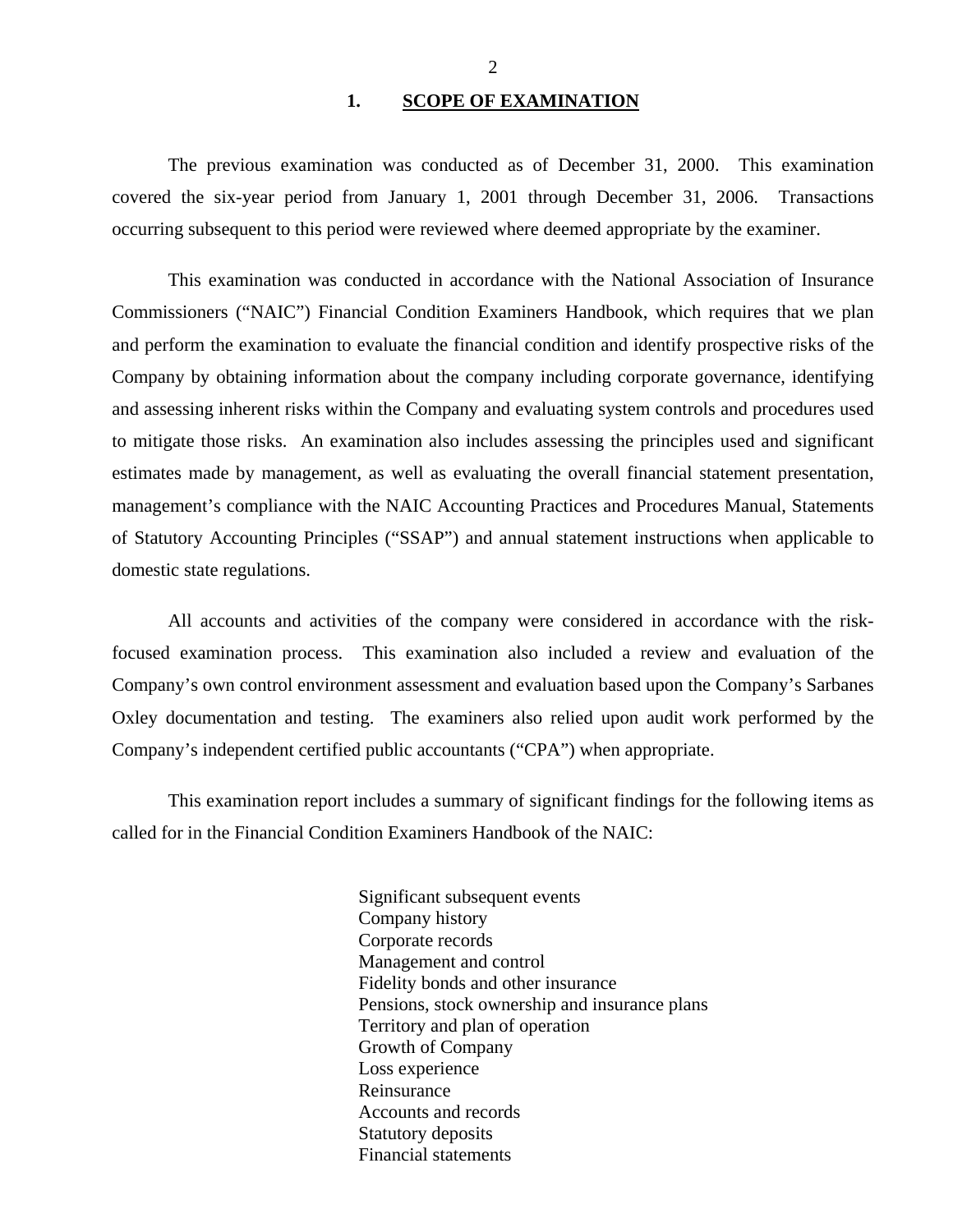#### 1. SCOPE OF EXAMINATION

<span id="page-3-0"></span>The previous examination was conducted as of December 31, 2000. This examination covered the six-year period from January 1, 2001 through December 31, 2006. Transactions occurring subsequent to this period were reviewed where deemed appropriate by the examiner.

This examination was conducted in accordance with the National Association of Insurance Commissioners ("NAIC") Financial Condition Examiners Handbook, which requires that we plan and perform the examination to evaluate the financial condition and identify prospective risks of the Company by obtaining information about the company including corporate governance, identifying and assessing inherent risks within the Company and evaluating system controls and procedures used to mitigate those risks. An examination also includes assessing the principles used and significant estimates made by management, as well as evaluating the overall financial statement presentation, management's compliance with the NAIC Accounting Practices and Procedures Manual, Statements of Statutory Accounting Principles ("SSAP") and annual statement instructions when applicable to domestic state regulations.

All accounts and activities of the company were considered in accordance with the riskfocused examination process. This examination also included a review and evaluation of the Company's own control environment assessment and evaluation based upon the Company's Sarbanes Oxley documentation and testing. The examiners also relied upon audit work performed by the Company's independent certified public accountants ("CPA") when appropriate.

This examination report includes a summary of significant findings for the following items as called for in the Financial Condition Examiners Handbook of the NAIC:

> Significant subsequent events Company history Corporate records Management and control Fidelity bonds and other insurance Pensions, stock ownership and insurance plans Territory and plan of operation Growth of Company Loss experience Reinsurance Accounts and records Statutory deposits Financial statements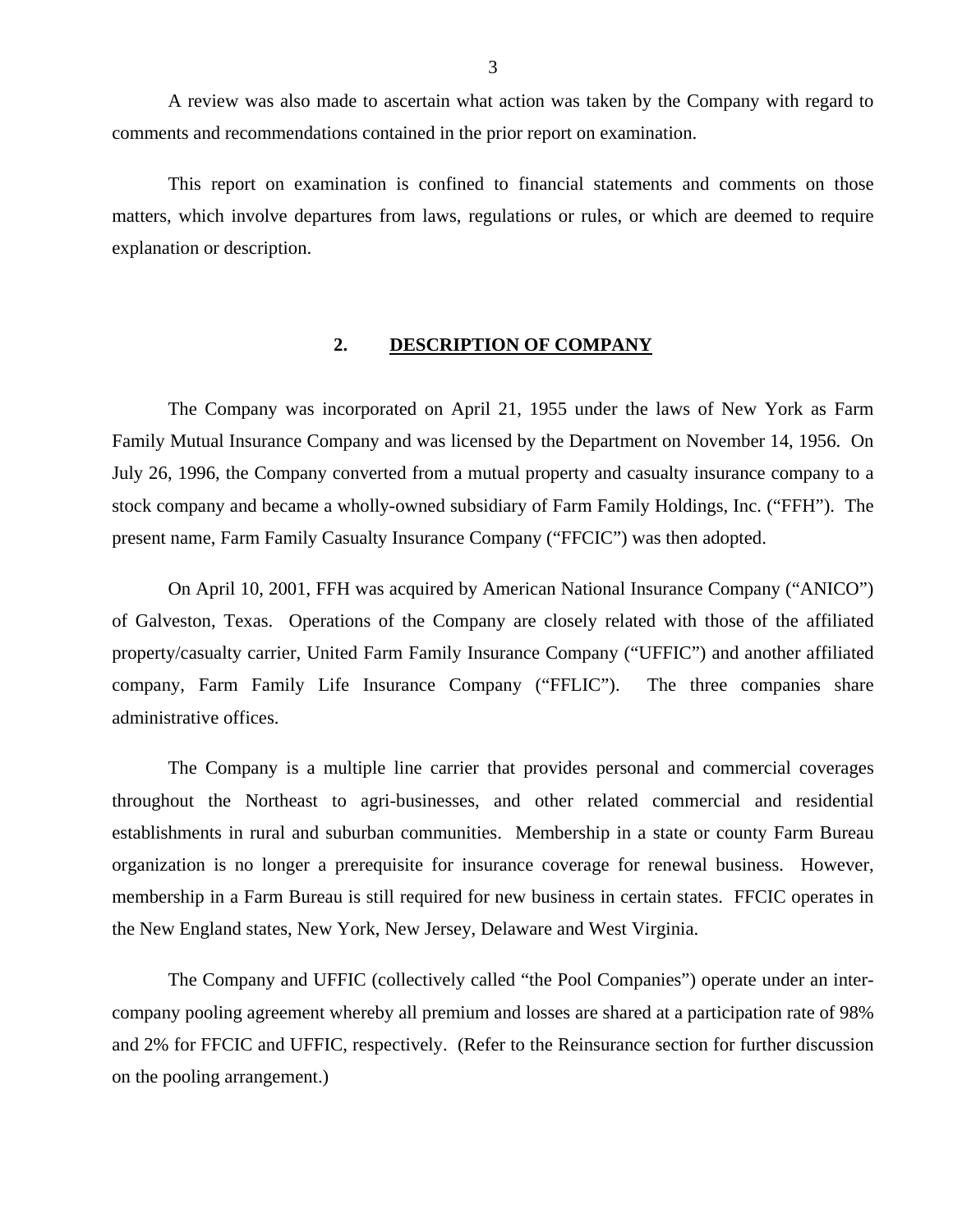<span id="page-4-0"></span>A review was also made to ascertain what action was taken by the Company with regard to comments and recommendations contained in the prior report on examination.

This report on examination is confined to financial statements and comments on those matters, which involve departures from laws, regulations or rules, or which are deemed to require explanation or description.

#### **2. DESCRIPTION OF COMPANY**

The Company was incorporated on April 21, 1955 under the laws of New York as Farm Family Mutual Insurance Company and was licensed by the Department on November 14, 1956. On July 26, 1996, the Company converted from a mutual property and casualty insurance company to a stock company and became a wholly-owned subsidiary of Farm Family Holdings, Inc. ("FFH"). The present name, Farm Family Casualty Insurance Company ("FFCIC") was then adopted.

On April 10, 2001, FFH was acquired by American National Insurance Company ("ANICO") of Galveston, Texas. Operations of the Company are closely related with those of the affiliated property/casualty carrier, United Farm Family Insurance Company ("UFFIC") and another affiliated company, Farm Family Life Insurance Company ("FFLIC"). The three companies share administrative offices.

The Company is a multiple line carrier that provides personal and commercial coverages throughout the Northeast to agri-businesses, and other related commercial and residential establishments in rural and suburban communities. Membership in a state or county Farm Bureau organization is no longer a prerequisite for insurance coverage for renewal business. However, membership in a Farm Bureau is still required for new business in certain states. FFCIC operates in the New England states, New York, New Jersey, Delaware and West Virginia.

The Company and UFFIC (collectively called "the Pool Companies") operate under an intercompany pooling agreement whereby all premium and losses are shared at a participation rate of 98% and 2% for FFCIC and UFFIC, respectively. (Refer to the Reinsurance section for further discussion on the pooling arrangement.)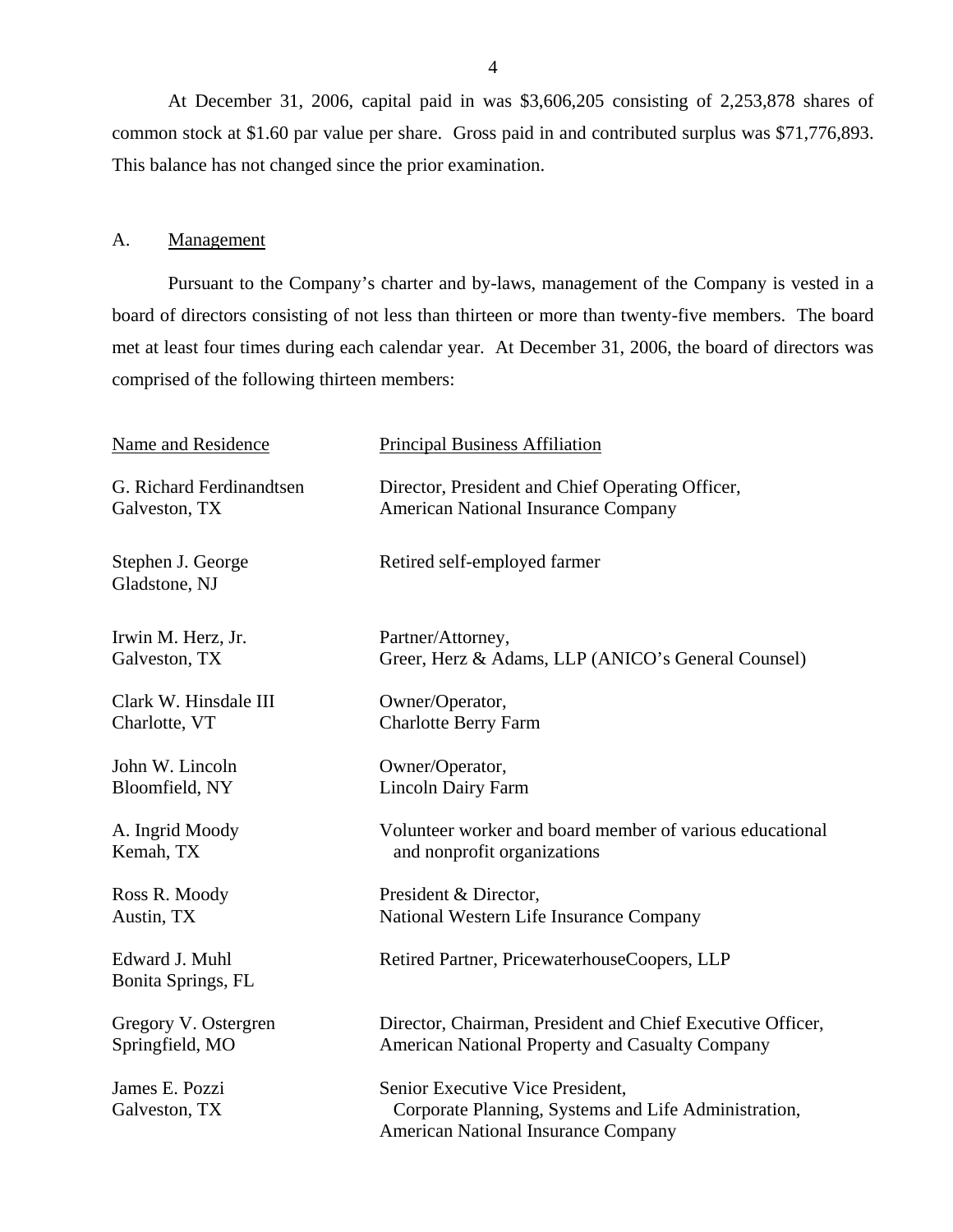At December 31, 2006, capital paid in was \$3,606,205 consisting of 2,253,878 shares of common stock at \$1.60 par value per share. Gross paid in and contributed surplus was \$71,776,893. This balance has not changed since the prior examination.

#### A. Management

Pursuant to the Company's charter and by-laws, management of the Company is vested in a board of directors consisting of not less than thirteen or more than twenty-five members. The board met at least four times during each calendar year. At December 31, 2006, the board of directors was comprised of the following thirteen members:

| Name and Residence                   | <b>Principal Business Affiliation</b>                                                                                                  |
|--------------------------------------|----------------------------------------------------------------------------------------------------------------------------------------|
| G. Richard Ferdinandtsen             | Director, President and Chief Operating Officer,                                                                                       |
| Galveston, TX                        | <b>American National Insurance Company</b>                                                                                             |
| Stephen J. George<br>Gladstone, NJ   | Retired self-employed farmer                                                                                                           |
| Irwin M. Herz, Jr.                   | Partner/Attorney,                                                                                                                      |
| Galveston, TX                        | Greer, Herz & Adams, LLP (ANICO's General Counsel)                                                                                     |
| Clark W. Hinsdale III                | Owner/Operator,                                                                                                                        |
| Charlotte, VT                        | <b>Charlotte Berry Farm</b>                                                                                                            |
| John W. Lincoln                      | Owner/Operator,                                                                                                                        |
| Bloomfield, NY                       | <b>Lincoln Dairy Farm</b>                                                                                                              |
| A. Ingrid Moody                      | Volunteer worker and board member of various educational                                                                               |
| Kemah, TX                            | and nonprofit organizations                                                                                                            |
| Ross R. Moody                        | President & Director,                                                                                                                  |
| Austin, TX                           | National Western Life Insurance Company                                                                                                |
| Edward J. Muhl<br>Bonita Springs, FL | Retired Partner, PricewaterhouseCoopers, LLP                                                                                           |
| Gregory V. Ostergren                 | Director, Chairman, President and Chief Executive Officer,                                                                             |
| Springfield, MO                      | American National Property and Casualty Company                                                                                        |
| James E. Pozzi<br>Galveston, TX      | Senior Executive Vice President,<br>Corporate Planning, Systems and Life Administration,<br><b>American National Insurance Company</b> |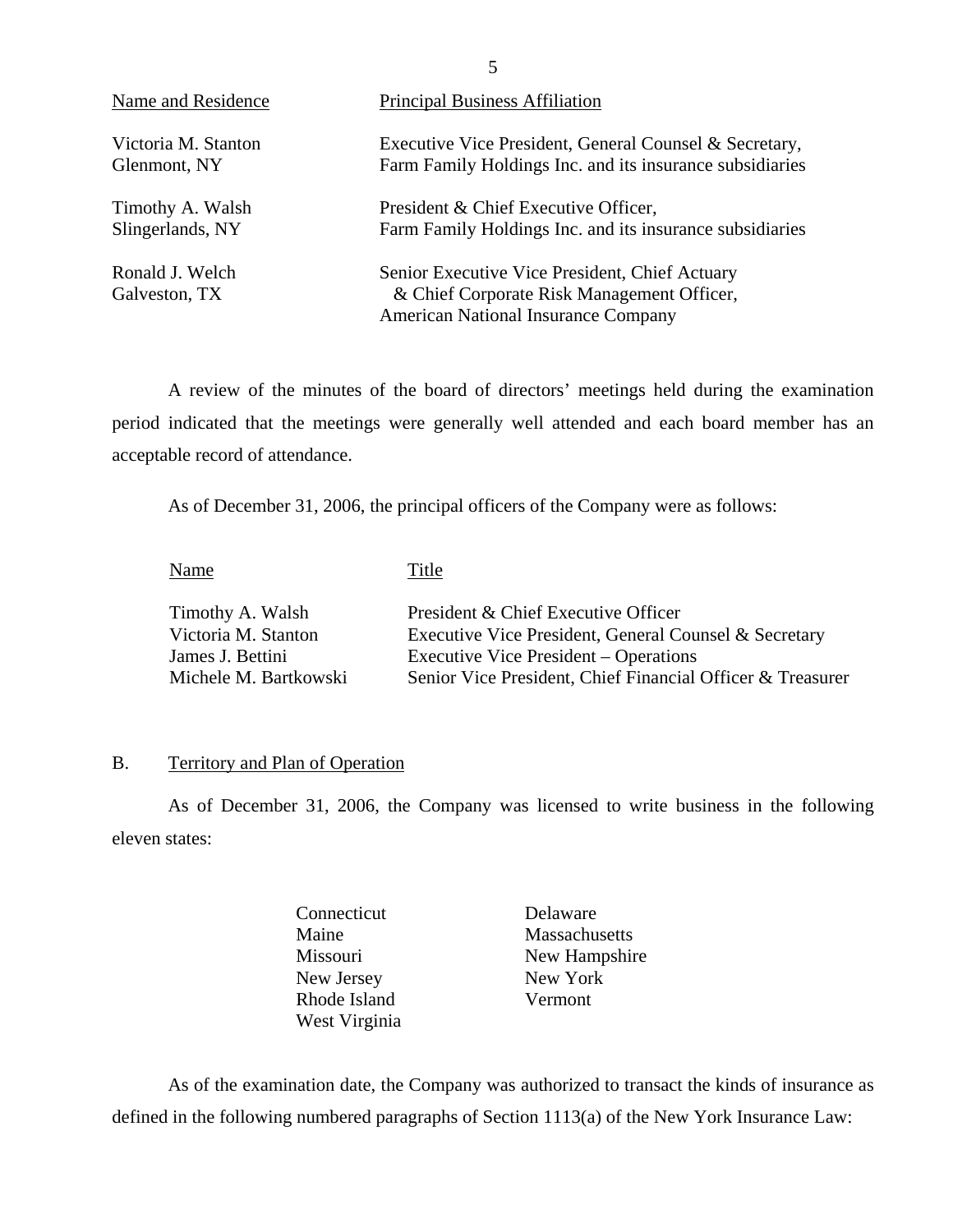<span id="page-6-0"></span>

| Name and Residence               | <b>Principal Business Affiliation</b>                                                                                                      |
|----------------------------------|--------------------------------------------------------------------------------------------------------------------------------------------|
| Victoria M. Stanton              | Executive Vice President, General Counsel & Secretary,                                                                                     |
| Glenmont, NY                     | Farm Family Holdings Inc. and its insurance subsidiaries                                                                                   |
| Timothy A. Walsh                 | President & Chief Executive Officer,                                                                                                       |
| Slingerlands, NY                 | Farm Family Holdings Inc. and its insurance subsidiaries                                                                                   |
| Ronald J. Welch<br>Galveston, TX | Senior Executive Vice President, Chief Actuary<br>& Chief Corporate Risk Management Officer,<br><b>American National Insurance Company</b> |

A review of the minutes of the board of directors' meetings held during the examination period indicated that the meetings were generally well attended and each board member has an acceptable record of attendance.

As of December 31, 2006, the principal officers of the Company were as follows:

Name Title

| Timothy A. Walsh      | President & Chief Executive Officer                        |
|-----------------------|------------------------------------------------------------|
| Victoria M. Stanton   | Executive Vice President, General Counsel & Secretary      |
| James J. Bettini      | Executive Vice President – Operations                      |
| Michele M. Bartkowski | Senior Vice President, Chief Financial Officer & Treasurer |

### B. Territory and Plan of Operation

As of December 31, 2006, the Company was licensed to write business in the following eleven states:

- Connecticut Delaware Maine Massachusetts New Jersey Rhode Island Vermont West Virginia
- Missouri New Hampshire<br>New Jersey New York

As of the examination date, the Company was authorized to transact the kinds of insurance as defined in the following numbered paragraphs of Section 1113(a) of the New York Insurance Law:

5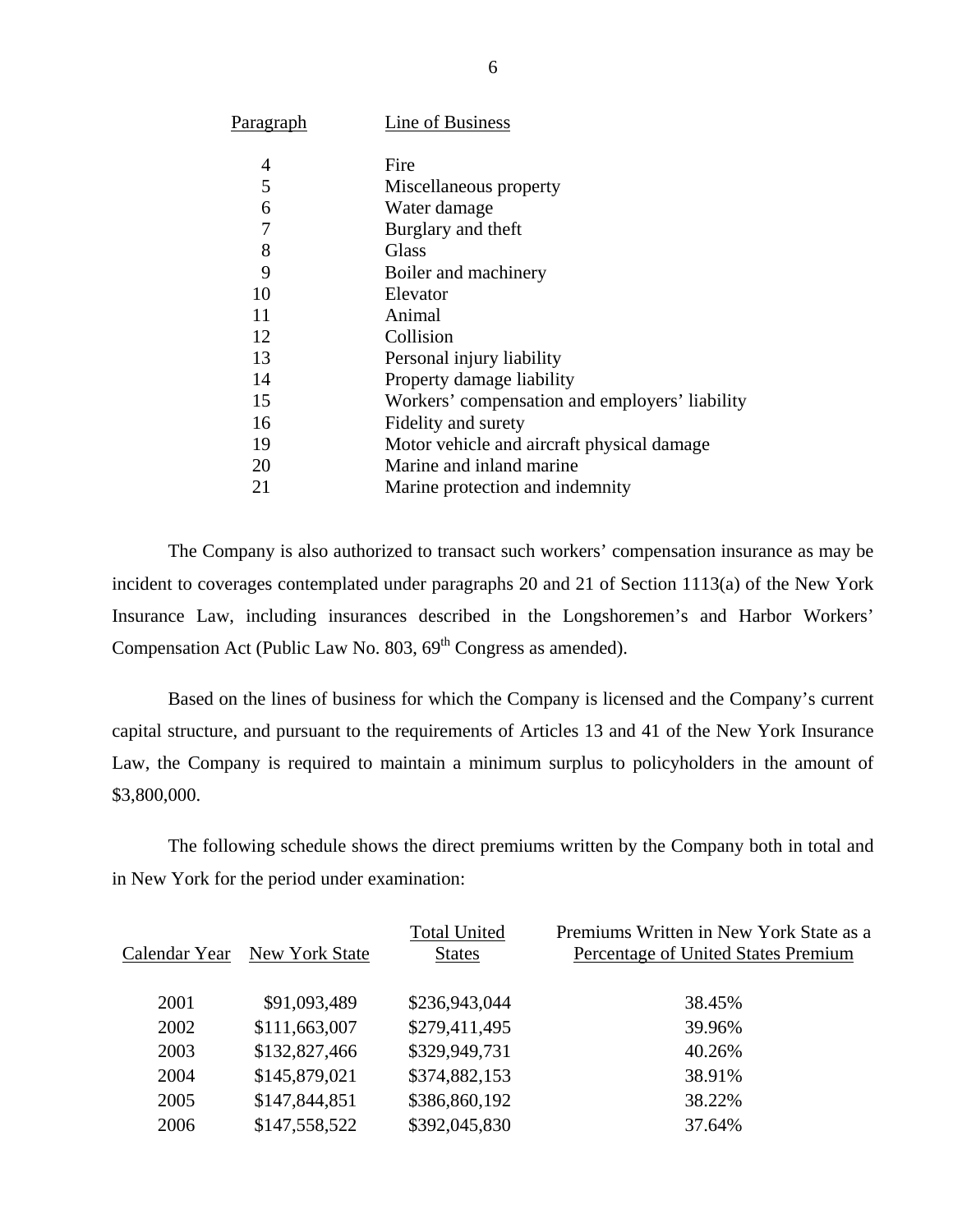| P <u>aragraph</u> | Line of Business                               |
|-------------------|------------------------------------------------|
| 4                 | Fire                                           |
| 5                 | Miscellaneous property                         |
| 6                 | Water damage                                   |
| 7                 | Burglary and theft                             |
| 8                 | Glass                                          |
| 9                 | Boiler and machinery                           |
| 10                | Elevator                                       |
| 11                | Animal                                         |
| 12                | Collision                                      |
| 13                | Personal injury liability                      |
| 14                | Property damage liability                      |
| 15                | Workers' compensation and employers' liability |
| 16                | Fidelity and surety                            |
| 19                | Motor vehicle and aircraft physical damage     |
| 20                | Marine and inland marine                       |
| 21                | Marine protection and indemnity                |

The Company is also authorized to transact such workers' compensation insurance as may be incident to coverages contemplated under paragraphs 20 and 21 of Section 1113(a) of the New York Insurance Law, including insurances described in the Longshoremen's and Harbor Workers' Compensation Act (Public Law No.  $803, 69<sup>th</sup>$  Congress as amended).

Based on the lines of business for which the Company is licensed and the Company's current capital structure, and pursuant to the requirements of Articles 13 and 41 of the New York Insurance Law, the Company is required to maintain a minimum surplus to policyholders in the amount of \$3,800,000.

The following schedule shows the direct premiums written by the Company both in total and in New York for the period under examination:

| Calendar Year | New York State | <b>Total United</b><br><b>States</b> | Premiums Written in New York State as a<br>Percentage of United States Premium |
|---------------|----------------|--------------------------------------|--------------------------------------------------------------------------------|
| 2001          | \$91,093,489   | \$236,943,044                        | 38.45%                                                                         |
| 2002          | \$111,663,007  | \$279,411,495                        | 39.96%                                                                         |
| 2003          | \$132,827,466  | \$329,949,731                        | 40.26%                                                                         |
| 2004          | \$145,879,021  | \$374,882,153                        | 38.91%                                                                         |
| 2005          | \$147,844,851  | \$386,860,192                        | 38.22%                                                                         |
| 2006          | \$147,558,522  | \$392,045,830                        | 37.64%                                                                         |
|               |                |                                      |                                                                                |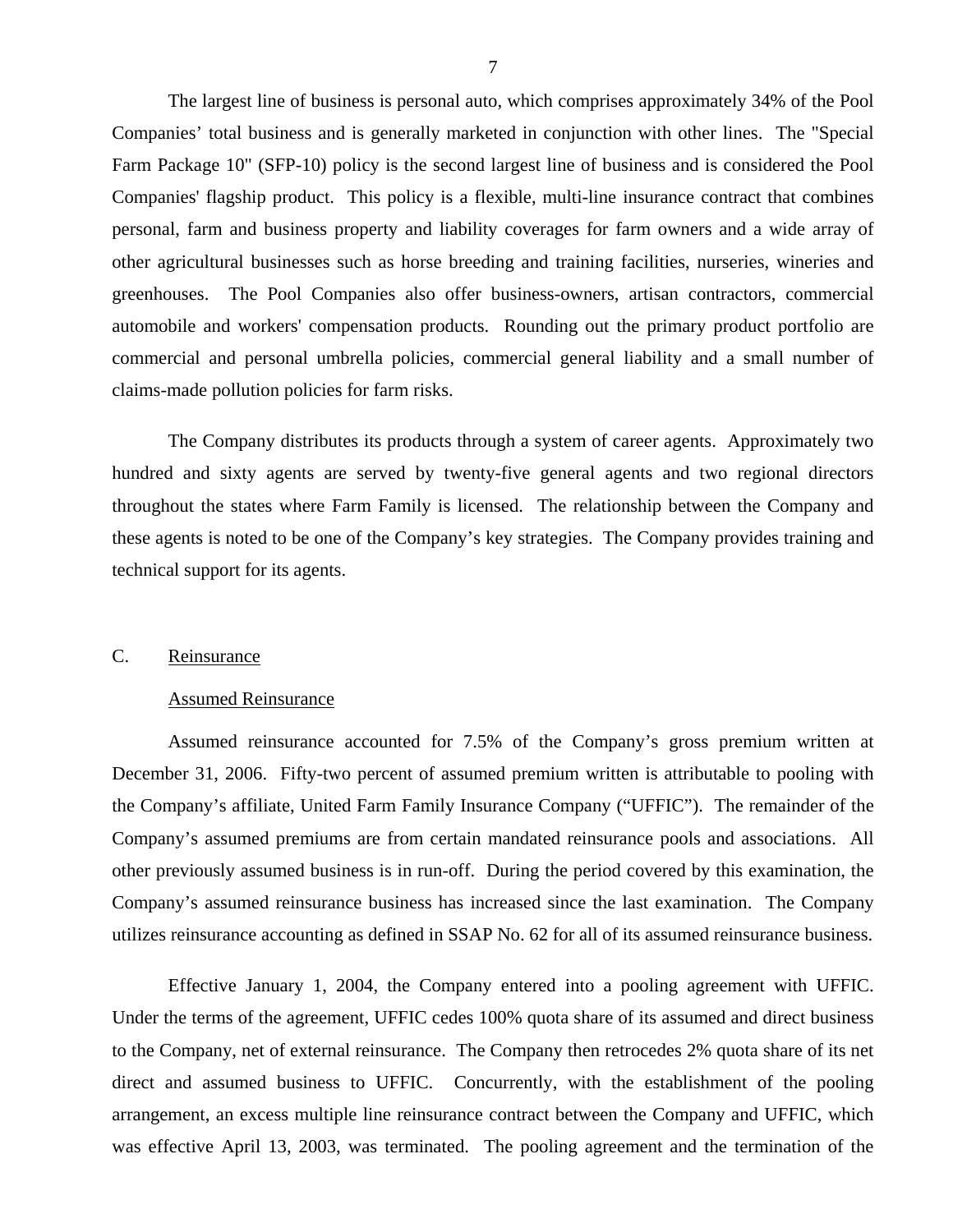<span id="page-8-0"></span>The largest line of business is personal auto, which comprises approximately 34% of the Pool Companies' total business and is generally marketed in conjunction with other lines. The "Special Farm Package 10" (SFP-10) policy is the second largest line of business and is considered the Pool Companies' flagship product. This policy is a flexible, multi-line insurance contract that combines personal, farm and business property and liability coverages for farm owners and a wide array of other agricultural businesses such as horse breeding and training facilities, nurseries, wineries and greenhouses. The Pool Companies also offer business-owners, artisan contractors, commercial automobile and workers' compensation products. Rounding out the primary product portfolio are commercial and personal umbrella policies, commercial general liability and a small number of claims-made pollution policies for farm risks.

The Company distributes its products through a system of career agents. Approximately two hundred and sixty agents are served by twenty-five general agents and two regional directors throughout the states where Farm Family is licensed. The relationship between the Company and these agents is noted to be one of the Company's key strategies. The Company provides training and technical support for its agents.

#### C. Reinsurance

#### Assumed Reinsurance

Assumed reinsurance accounted for 7.5% of the Company's gross premium written at December 31, 2006. Fifty-two percent of assumed premium written is attributable to pooling with the Company's affiliate, United Farm Family Insurance Company ("UFFIC"). The remainder of the Company's assumed premiums are from certain mandated reinsurance pools and associations. All other previously assumed business is in run-off. During the period covered by this examination, the Company's assumed reinsurance business has increased since the last examination. The Company utilizes reinsurance accounting as defined in SSAP No. 62 for all of its assumed reinsurance business.

Effective January 1, 2004, the Company entered into a pooling agreement with UFFIC. Under the terms of the agreement, UFFIC cedes 100% quota share of its assumed and direct business to the Company, net of external reinsurance. The Company then retrocedes 2% quota share of its net direct and assumed business to UFFIC. Concurrently, with the establishment of the pooling arrangement, an excess multiple line reinsurance contract between the Company and UFFIC, which was effective April 13, 2003, was terminated. The pooling agreement and the termination of the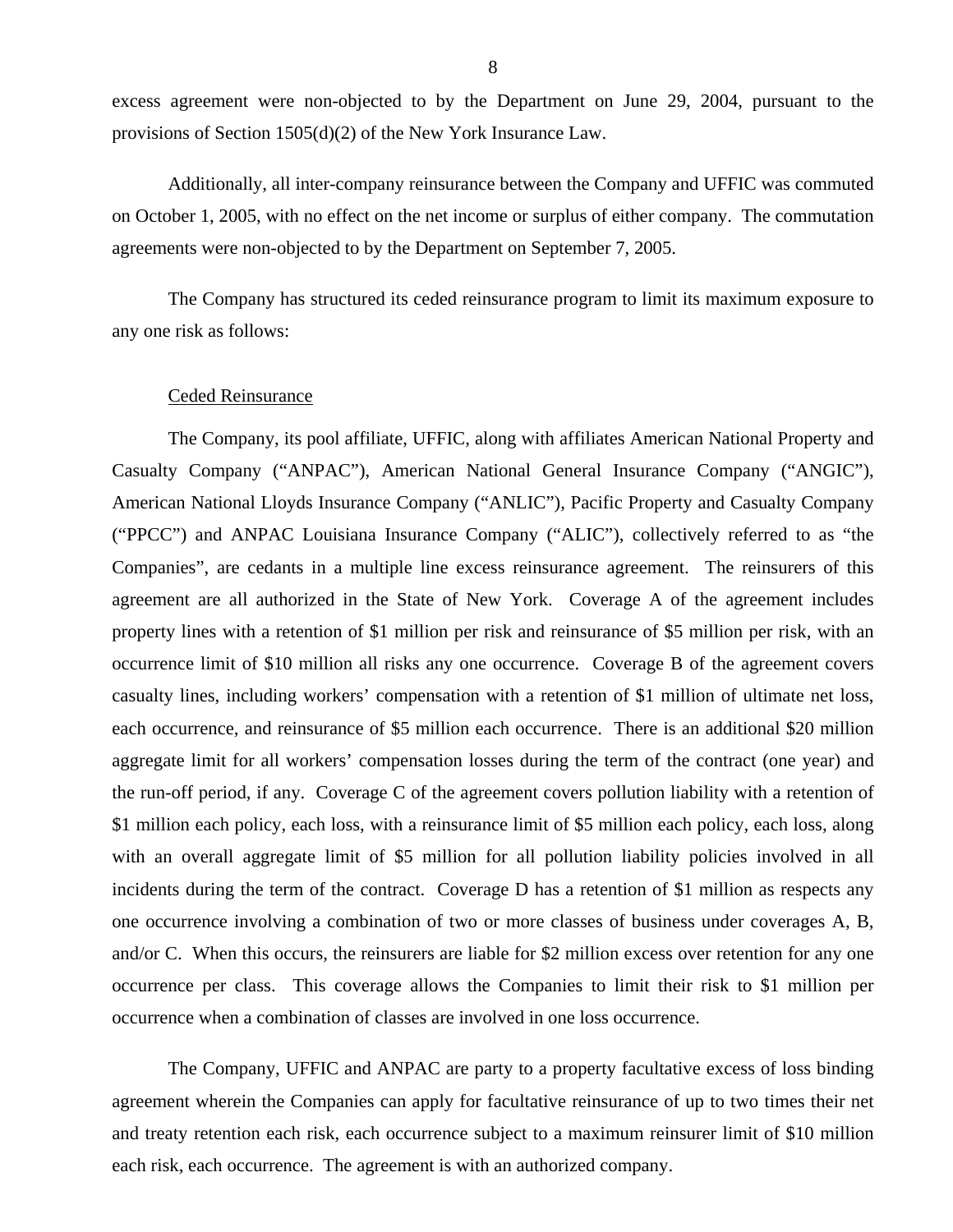excess agreement were non-objected to by the Department on June 29, 2004, pursuant to the provisions of Section 1505(d)(2) of the New York Insurance Law.

Additionally, all inter-company reinsurance between the Company and UFFIC was commuted on October 1, 2005, with no effect on the net income or surplus of either company. The commutation agreements were non-objected to by the Department on September 7, 2005.

The Company has structured its ceded reinsurance program to limit its maximum exposure to any one risk as follows:

#### Ceded Reinsurance

The Company, its pool affiliate, UFFIC, along with affiliates American National Property and Casualty Company ("ANPAC"), American National General Insurance Company ("ANGIC"), American National Lloyds Insurance Company ("ANLIC"), Pacific Property and Casualty Company ("PPCC") and ANPAC Louisiana Insurance Company ("ALIC"), collectively referred to as "the Companies", are cedants in a multiple line excess reinsurance agreement. The reinsurers of this agreement are all authorized in the State of New York. Coverage A of the agreement includes property lines with a retention of \$1 million per risk and reinsurance of \$5 million per risk, with an occurrence limit of \$10 million all risks any one occurrence. Coverage B of the agreement covers casualty lines, including workers' compensation with a retention of \$1 million of ultimate net loss, each occurrence, and reinsurance of \$5 million each occurrence. There is an additional \$20 million aggregate limit for all workers' compensation losses during the term of the contract (one year) and the run-off period, if any. Coverage C of the agreement covers pollution liability with a retention of \$1 million each policy, each loss, with a reinsurance limit of \$5 million each policy, each loss, along with an overall aggregate limit of \$5 million for all pollution liability policies involved in all incidents during the term of the contract. Coverage D has a retention of \$1 million as respects any one occurrence involving a combination of two or more classes of business under coverages A, B, and/or C. When this occurs, the reinsurers are liable for \$2 million excess over retention for any one occurrence per class. This coverage allows the Companies to limit their risk to \$1 million per occurrence when a combination of classes are involved in one loss occurrence.

The Company, UFFIC and ANPAC are party to a property facultative excess of loss binding agreement wherein the Companies can apply for facultative reinsurance of up to two times their net and treaty retention each risk, each occurrence subject to a maximum reinsurer limit of \$10 million each risk, each occurrence. The agreement is with an authorized company.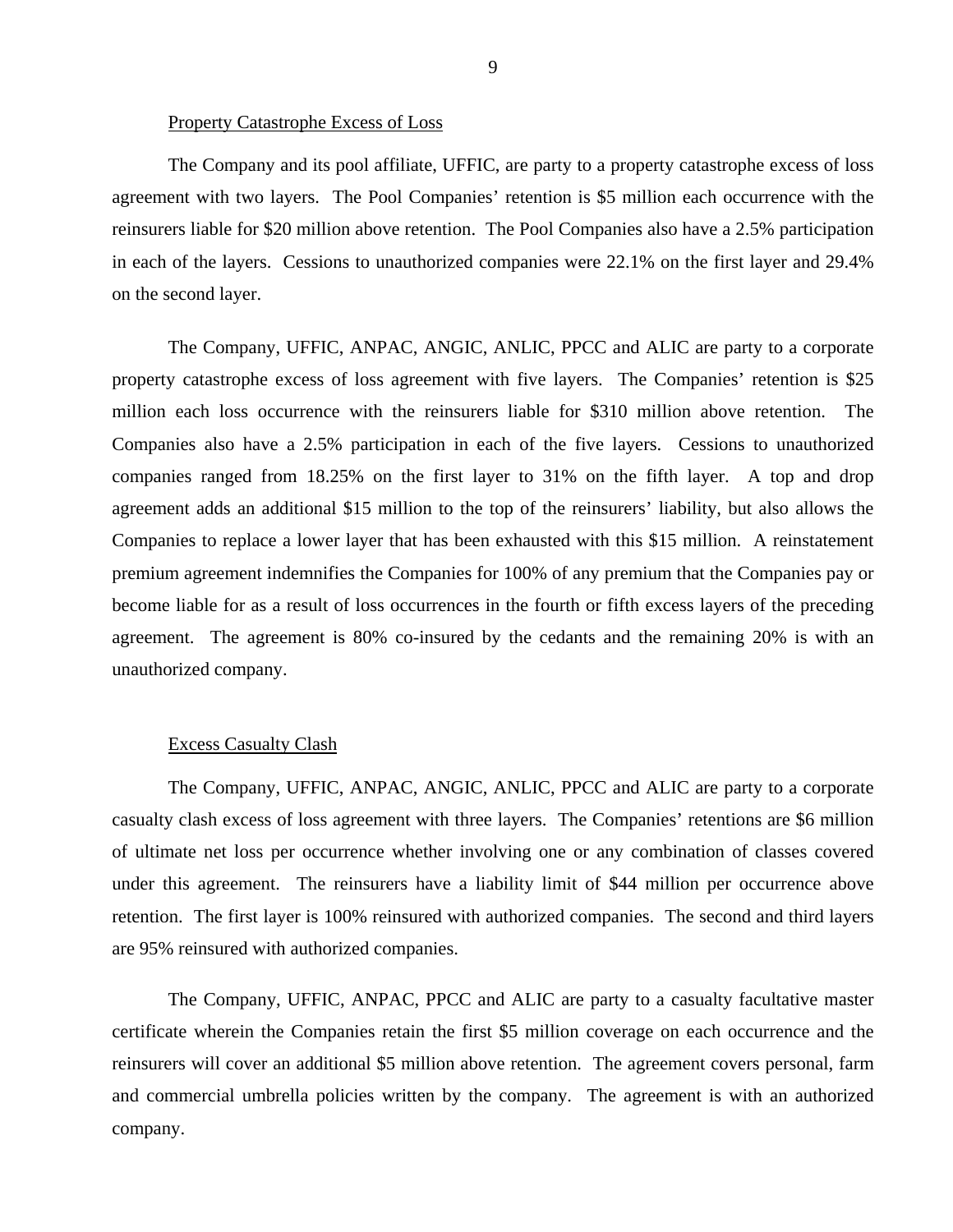#### Property Catastrophe Excess of Loss

The Company and its pool affiliate, UFFIC, are party to a property catastrophe excess of loss agreement with two layers. The Pool Companies' retention is \$5 million each occurrence with the reinsurers liable for \$20 million above retention. The Pool Companies also have a 2.5% participation in each of the layers. Cessions to unauthorized companies were 22.1% on the first layer and 29.4% on the second layer.

The Company, UFFIC, ANPAC, ANGIC, ANLIC, PPCC and ALIC are party to a corporate property catastrophe excess of loss agreement with five layers. The Companies' retention is \$25 million each loss occurrence with the reinsurers liable for \$310 million above retention. The Companies also have a 2.5% participation in each of the five layers. Cessions to unauthorized companies ranged from 18.25% on the first layer to 31% on the fifth layer. A top and drop agreement adds an additional \$15 million to the top of the reinsurers' liability, but also allows the Companies to replace a lower layer that has been exhausted with this \$15 million. A reinstatement premium agreement indemnifies the Companies for 100% of any premium that the Companies pay or become liable for as a result of loss occurrences in the fourth or fifth excess layers of the preceding agreement. The agreement is 80% co-insured by the cedants and the remaining 20% is with an unauthorized company.

#### Excess Casualty Clash

The Company, UFFIC, ANPAC, ANGIC, ANLIC, PPCC and ALIC are party to a corporate casualty clash excess of loss agreement with three layers. The Companies' retentions are \$6 million of ultimate net loss per occurrence whether involving one or any combination of classes covered under this agreement. The reinsurers have a liability limit of \$44 million per occurrence above retention. The first layer is 100% reinsured with authorized companies. The second and third layers are 95% reinsured with authorized companies.

The Company, UFFIC, ANPAC, PPCC and ALIC are party to a casualty facultative master certificate wherein the Companies retain the first \$5 million coverage on each occurrence and the reinsurers will cover an additional \$5 million above retention. The agreement covers personal, farm and commercial umbrella policies written by the company. The agreement is with an authorized company.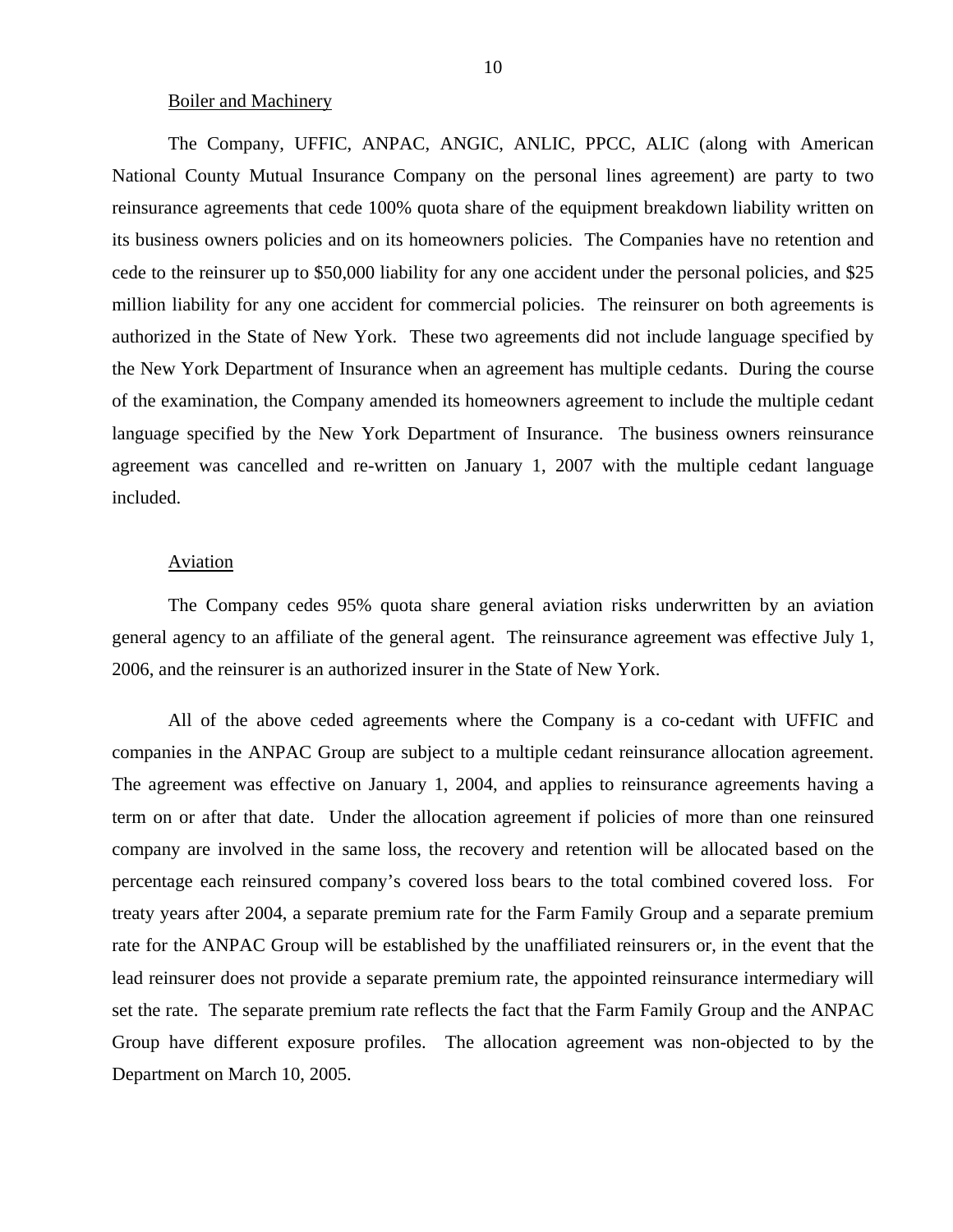#### Boiler and Machinery

The Company, UFFIC, ANPAC, ANGIC, ANLIC, PPCC, ALIC (along with American National County Mutual Insurance Company on the personal lines agreement) are party to two reinsurance agreements that cede 100% quota share of the equipment breakdown liability written on its business owners policies and on its homeowners policies. The Companies have no retention and cede to the reinsurer up to \$50,000 liability for any one accident under the personal policies, and \$25 million liability for any one accident for commercial policies. The reinsurer on both agreements is authorized in the State of New York. These two agreements did not include language specified by the New York Department of Insurance when an agreement has multiple cedants. During the course of the examination, the Company amended its homeowners agreement to include the multiple cedant language specified by the New York Department of Insurance. The business owners reinsurance agreement was cancelled and re-written on January 1, 2007 with the multiple cedant language included.

#### Aviation

The Company cedes 95% quota share general aviation risks underwritten by an aviation general agency to an affiliate of the general agent. The reinsurance agreement was effective July 1, 2006, and the reinsurer is an authorized insurer in the State of New York.

All of the above ceded agreements where the Company is a co-cedant with UFFIC and companies in the ANPAC Group are subject to a multiple cedant reinsurance allocation agreement. The agreement was effective on January 1, 2004, and applies to reinsurance agreements having a term on or after that date. Under the allocation agreement if policies of more than one reinsured company are involved in the same loss, the recovery and retention will be allocated based on the percentage each reinsured company's covered loss bears to the total combined covered loss. For treaty years after 2004, a separate premium rate for the Farm Family Group and a separate premium rate for the ANPAC Group will be established by the unaffiliated reinsurers or, in the event that the lead reinsurer does not provide a separate premium rate, the appointed reinsurance intermediary will set the rate. The separate premium rate reflects the fact that the Farm Family Group and the ANPAC Group have different exposure profiles. The allocation agreement was non-objected to by the Department on March 10, 2005.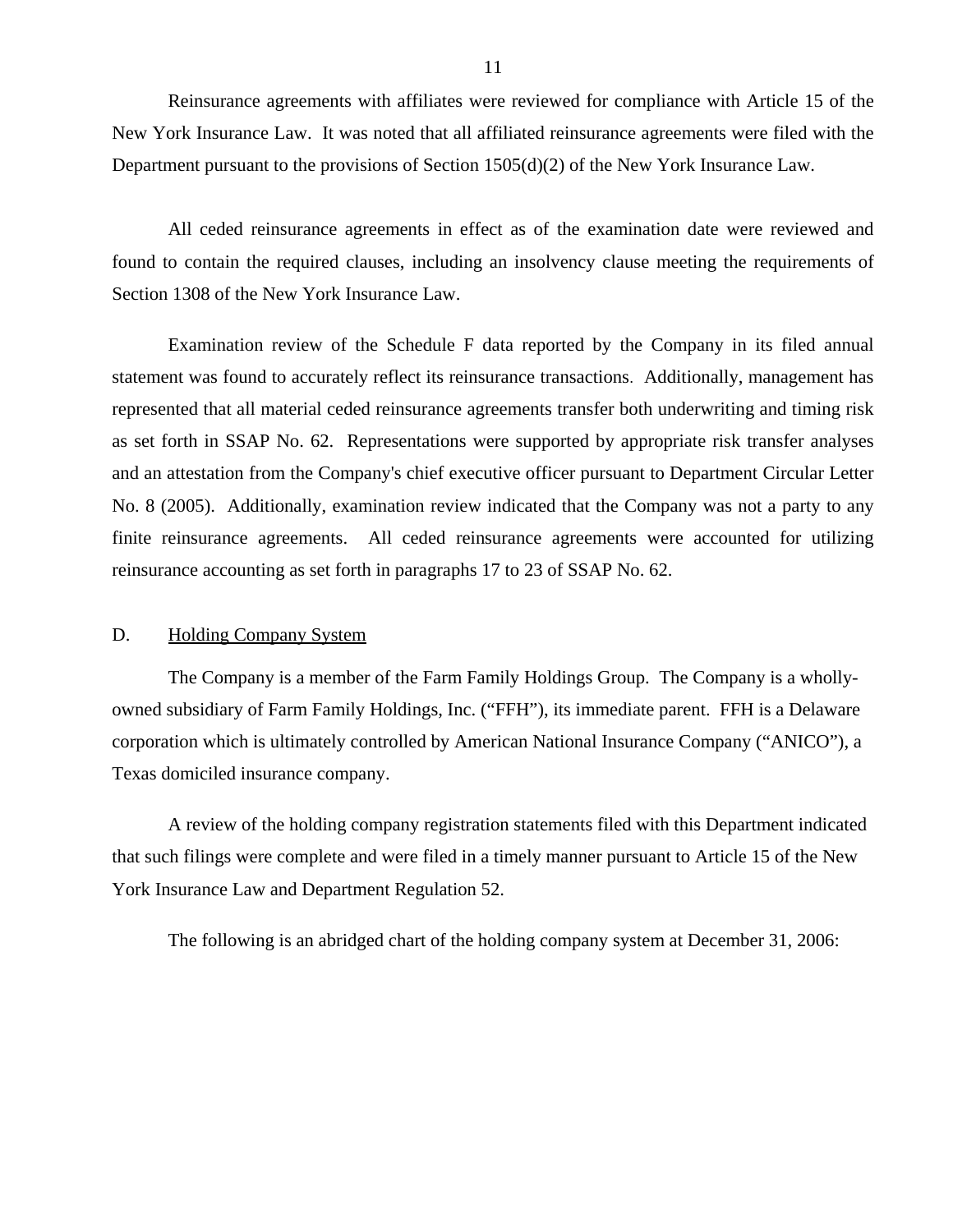<span id="page-12-0"></span>Reinsurance agreements with affiliates were reviewed for compliance with Article 15 of the New York Insurance Law. It was noted that all affiliated reinsurance agreements were filed with the Department pursuant to the provisions of Section 1505(d)(2) of the New York Insurance Law.

All ceded reinsurance agreements in effect as of the examination date were reviewed and found to contain the required clauses, including an insolvency clause meeting the requirements of Section 1308 of the New York Insurance Law.

Examination review of the Schedule F data reported by the Company in its filed annual statement was found to accurately reflect its reinsurance transactions. Additionally, management has represented that all material ceded reinsurance agreements transfer both underwriting and timing risk as set forth in SSAP No. 62. Representations were supported by appropriate risk transfer analyses and an attestation from the Company's chief executive officer pursuant to Department Circular Letter No. 8 (2005). Additionally, examination review indicated that the Company was not a party to any finite reinsurance agreements. All ceded reinsurance agreements were accounted for utilizing reinsurance accounting as set forth in paragraphs 17 to 23 of SSAP No. 62.

#### D. Holding Company System

The Company is a member of the Farm Family Holdings Group. The Company is a whollyowned subsidiary of Farm Family Holdings, Inc. ("FFH"), its immediate parent. FFH is a Delaware corporation which is ultimately controlled by American National Insurance Company ("ANICO"), a Texas domiciled insurance company.

A review of the holding company registration statements filed with this Department indicated that such filings were complete and were filed in a timely manner pursuant to Article 15 of the New York Insurance Law and Department Regulation 52.

The following is an abridged chart of the holding company system at December 31, 2006: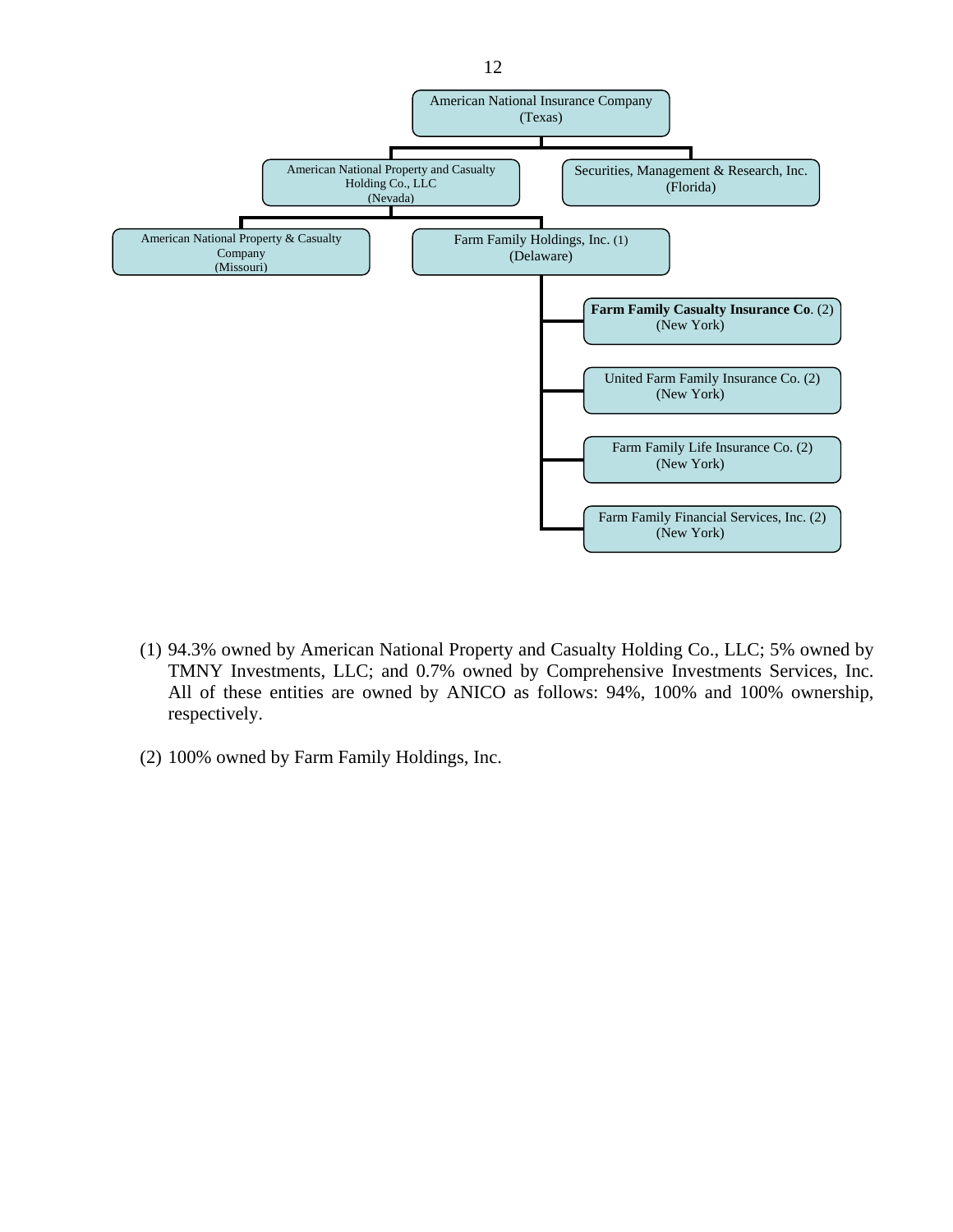

- (1) 94.3% owned by American National Property and Casualty Holding Co., LLC; 5% owned by TMNY Investments, LLC; and 0.7% owned by Comprehensive Investments Services, Inc. All of these entities are owned by ANICO as follows: 94%, 100% and 100% ownership, respectively.
- (2) 100% owned by Farm Family Holdings, Inc.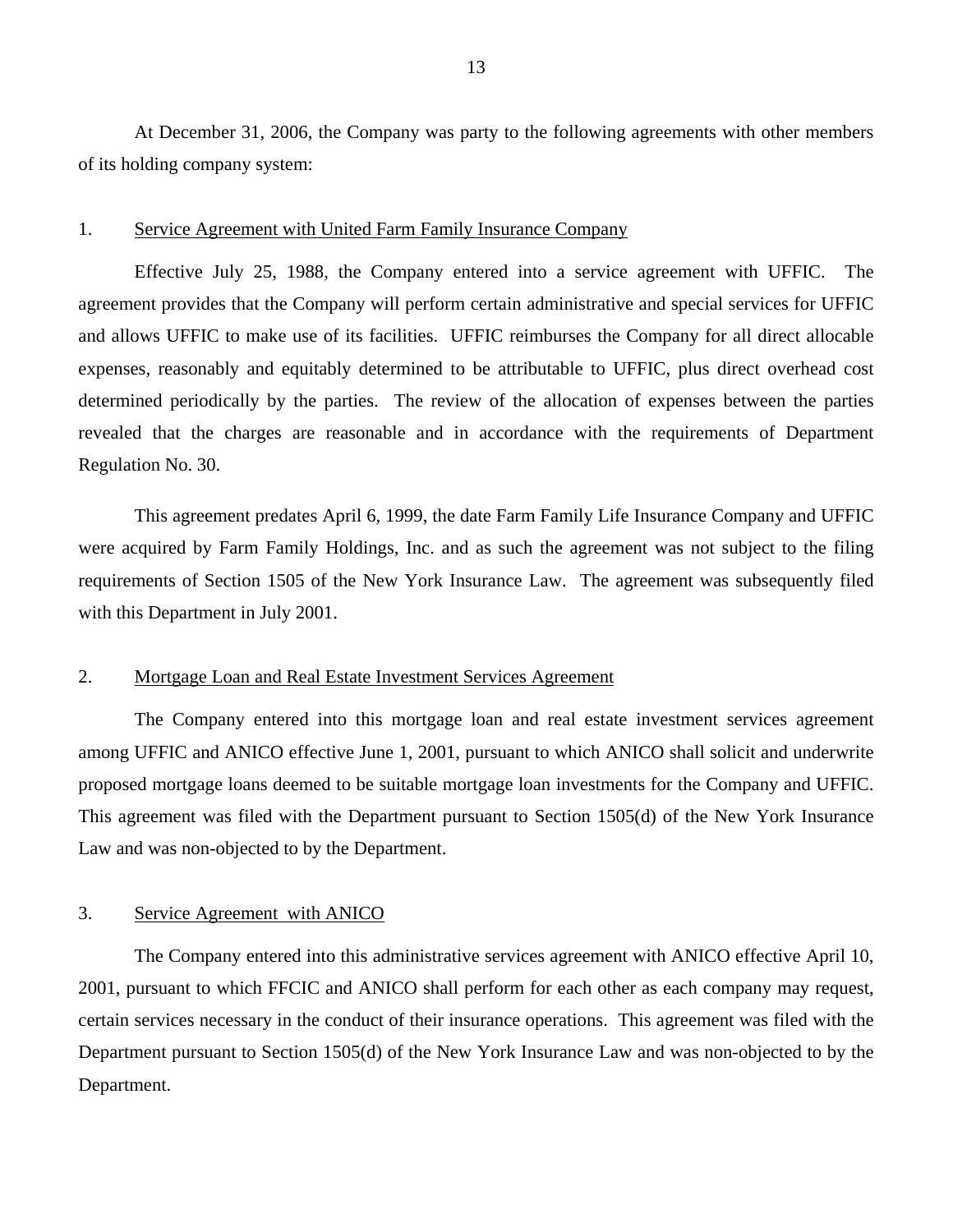At December 31, 2006, the Company was party to the following agreements with other members of its holding company system:

#### 1. Service Agreement with United Farm Family Insurance Company

Effective July 25, 1988, the Company entered into a service agreement with UFFIC. The agreement provides that the Company will perform certain administrative and special services for UFFIC and allows UFFIC to make use of its facilities. UFFIC reimburses the Company for all direct allocable expenses, reasonably and equitably determined to be attributable to UFFIC, plus direct overhead cost determined periodically by the parties. The review of the allocation of expenses between the parties revealed that the charges are reasonable and in accordance with the requirements of Department Regulation No. 30.

This agreement predates April 6, 1999, the date Farm Family Life Insurance Company and UFFIC were acquired by Farm Family Holdings, Inc. and as such the agreement was not subject to the filing requirements of Section 1505 of the New York Insurance Law. The agreement was subsequently filed with this Department in July 2001.

#### 2. Mortgage Loan and Real Estate Investment Services Agreement

The Company entered into this mortgage loan and real estate investment services agreement among UFFIC and ANICO effective June 1, 2001, pursuant to which ANICO shall solicit and underwrite proposed mortgage loans deemed to be suitable mortgage loan investments for the Company and UFFIC. This agreement was filed with the Department pursuant to Section 1505(d) of the New York Insurance Law and was non-objected to by the Department.

#### 3. Service Agreement with ANICO

The Company entered into this administrative services agreement with ANICO effective April 10, 2001, pursuant to which FFCIC and ANICO shall perform for each other as each company may request, certain services necessary in the conduct of their insurance operations. This agreement was filed with the Department pursuant to Section 1505(d) of the New York Insurance Law and was non-objected to by the Department.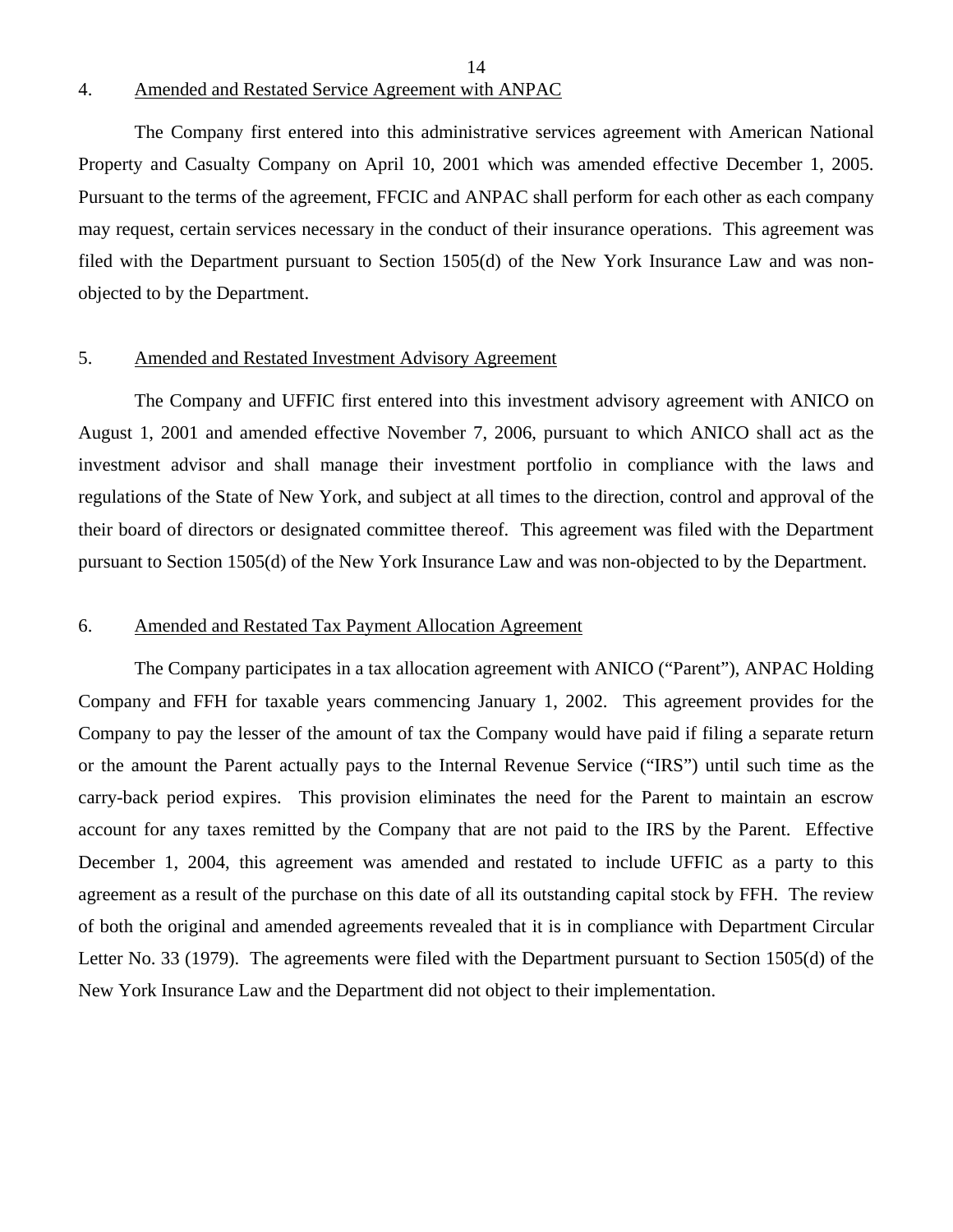#### 4. Amended and Restated Service Agreement with ANPAC

The Company first entered into this administrative services agreement with American National Property and Casualty Company on April 10, 2001 which was amended effective December 1, 2005. Pursuant to the terms of the agreement, FFCIC and ANPAC shall perform for each other as each company may request, certain services necessary in the conduct of their insurance operations. This agreement was filed with the Department pursuant to Section 1505(d) of the New York Insurance Law and was nonobjected to by the Department.

14

#### 5. Amended and Restated Investment Advisory Agreement

The Company and UFFIC first entered into this investment advisory agreement with ANICO on August 1, 2001 and amended effective November 7, 2006, pursuant to which ANICO shall act as the investment advisor and shall manage their investment portfolio in compliance with the laws and regulations of the State of New York, and subject at all times to the direction, control and approval of the their board of directors or designated committee thereof. This agreement was filed with the Department pursuant to Section 1505(d) of the New York Insurance Law and was non-objected to by the Department.

#### 6. Amended and Restated Tax Payment Allocation Agreement

The Company participates in a tax allocation agreement with ANICO ("Parent"), ANPAC Holding Company and FFH for taxable years commencing January 1, 2002. This agreement provides for the Company to pay the lesser of the amount of tax the Company would have paid if filing a separate return or the amount the Parent actually pays to the Internal Revenue Service ("IRS") until such time as the carry-back period expires. This provision eliminates the need for the Parent to maintain an escrow account for any taxes remitted by the Company that are not paid to the IRS by the Parent. Effective December 1, 2004, this agreement was amended and restated to include UFFIC as a party to this agreement as a result of the purchase on this date of all its outstanding capital stock by FFH. The review of both the original and amended agreements revealed that it is in compliance with Department Circular Letter No. 33 (1979). The agreements were filed with the Department pursuant to Section 1505(d) of the New York Insurance Law and the Department did not object to their implementation.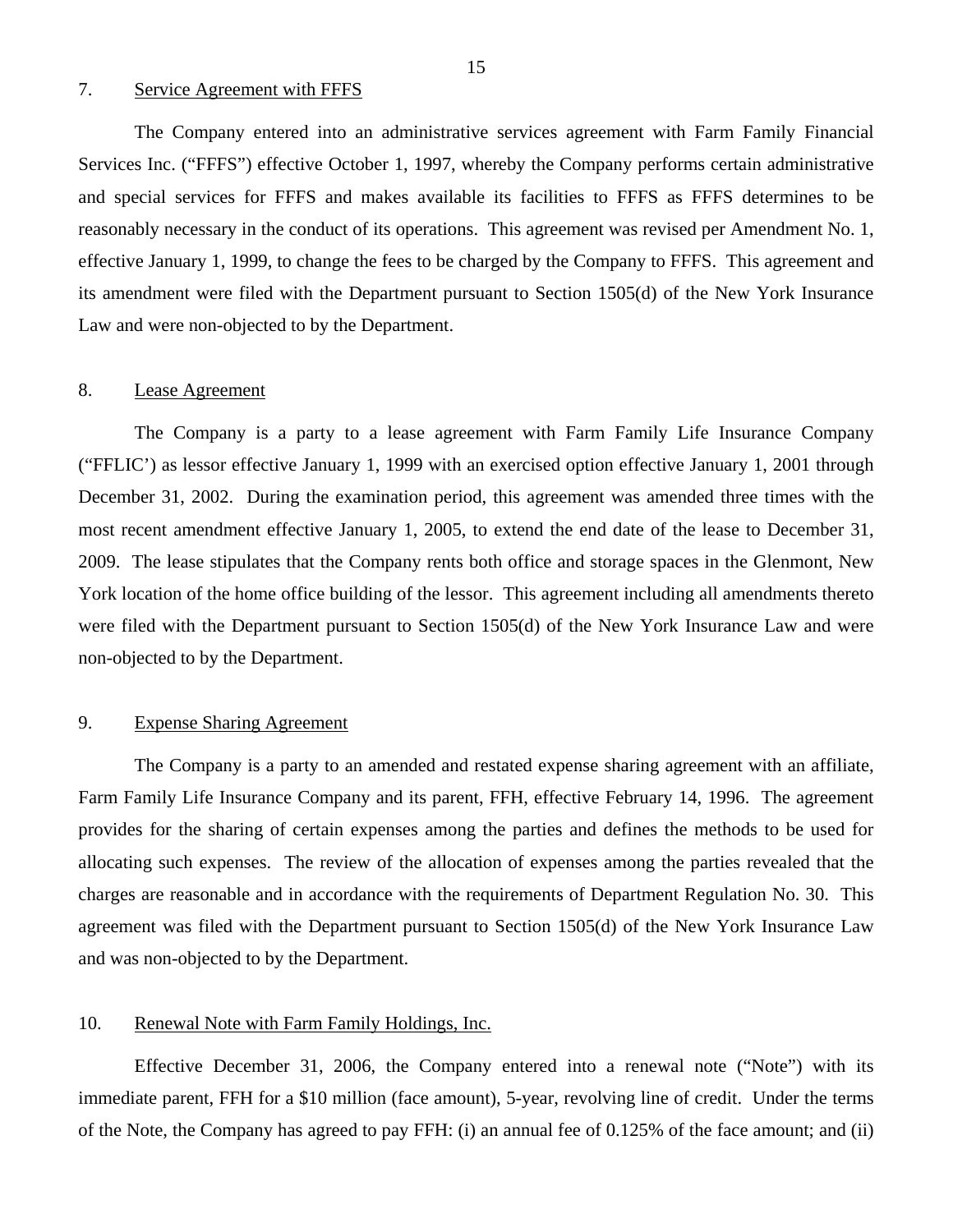#### 7. Service Agreement with FFFS

The Company entered into an administrative services agreement with Farm Family Financial Services Inc. ("FFFS") effective October 1, 1997, whereby the Company performs certain administrative and special services for FFFS and makes available its facilities to FFFS as FFFS determines to be reasonably necessary in the conduct of its operations. This agreement was revised per Amendment No. 1, effective January 1, 1999, to change the fees to be charged by the Company to FFFS. This agreement and its amendment were filed with the Department pursuant to Section 1505(d) of the New York Insurance Law and were non-objected to by the Department.

#### 8. Lease Agreement

The Company is a party to a lease agreement with Farm Family Life Insurance Company ("FFLIC') as lessor effective January 1, 1999 with an exercised option effective January 1, 2001 through December 31, 2002. During the examination period, this agreement was amended three times with the most recent amendment effective January 1, 2005, to extend the end date of the lease to December 31, 2009. The lease stipulates that the Company rents both office and storage spaces in the Glenmont, New York location of the home office building of the lessor. This agreement including all amendments thereto were filed with the Department pursuant to Section 1505(d) of the New York Insurance Law and were non-objected to by the Department.

#### 9. Expense Sharing Agreement

The Company is a party to an amended and restated expense sharing agreement with an affiliate, Farm Family Life Insurance Company and its parent, FFH, effective February 14, 1996. The agreement provides for the sharing of certain expenses among the parties and defines the methods to be used for allocating such expenses. The review of the allocation of expenses among the parties revealed that the charges are reasonable and in accordance with the requirements of Department Regulation No. 30. This agreement was filed with the Department pursuant to Section 1505(d) of the New York Insurance Law and was non-objected to by the Department.

#### 10. Renewal Note with Farm Family Holdings, Inc.

Effective December 31, 2006, the Company entered into a renewal note ("Note") with its immediate parent, FFH for a \$10 million (face amount), 5-year, revolving line of credit. Under the terms of the Note, the Company has agreed to pay FFH: (i) an annual fee of 0.125% of the face amount; and (ii)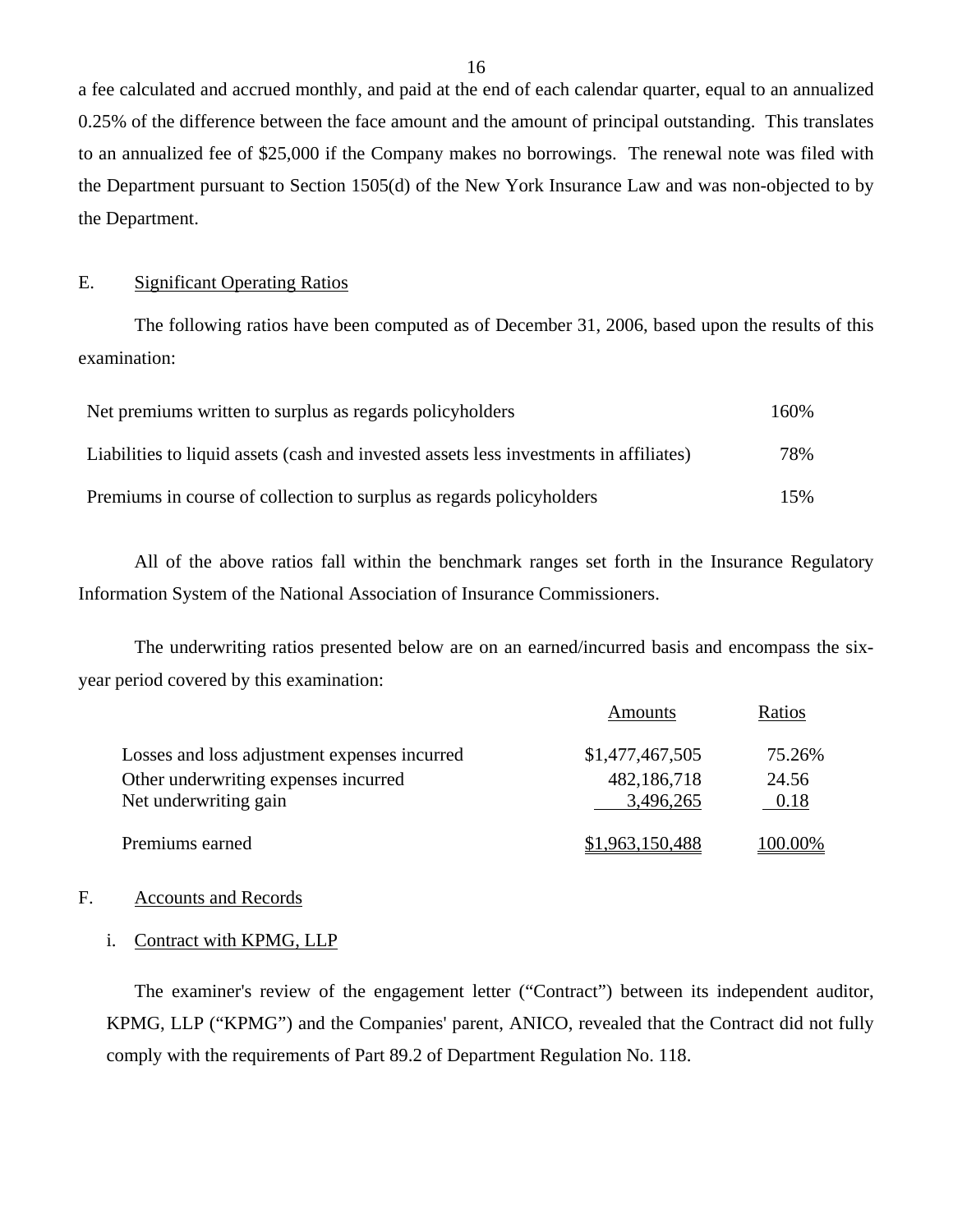a fee calculated and accrued monthly, and paid at the end of each calendar quarter, equal to an annualized 0.25% of the difference between the face amount and the amount of principal outstanding. This translates to an annualized fee of \$25,000 if the Company makes no borrowings. The renewal note was filed with the Department pursuant to Section 1505(d) of the New York Insurance Law and was non-objected to by the Department.

#### E. Significant Operating Ratios

The following ratios have been computed as of December 31, 2006, based upon the results of this examination:

| Net premiums written to surplus as regards policyholders                               | 160% |
|----------------------------------------------------------------------------------------|------|
| Liabilities to liquid assets (cash and invested assets less investments in affiliates) | 78%  |
| Premiums in course of collection to surplus as regards policyholders                   | 15%  |

All of the above ratios fall within the benchmark ranges set forth in the Insurance Regulatory Information System of the National Association of Insurance Commissioners.

The underwriting ratios presented below are on an earned/incurred basis and encompass the sixyear period covered by this examination:

|                                                               | <b>Amounts</b>           | Ratios        |
|---------------------------------------------------------------|--------------------------|---------------|
| Losses and loss adjustment expenses incurred                  | \$1,477,467,505          | 75.26%        |
| Other underwriting expenses incurred<br>Net underwriting gain | 482,186,718<br>3,496,265 | 24.56<br>0.18 |
| Premiums earned                                               | \$1,963,150,488          | 100.00%       |

#### F. Accounts and Records

#### i. Contract with KPMG, LLP

The examiner's review of the engagement letter ("Contract") between its independent auditor, KPMG, LLP ("KPMG") and the Companies' parent, ANICO, revealed that the Contract did not fully comply with the requirements of Part 89.2 of Department Regulation No. 118.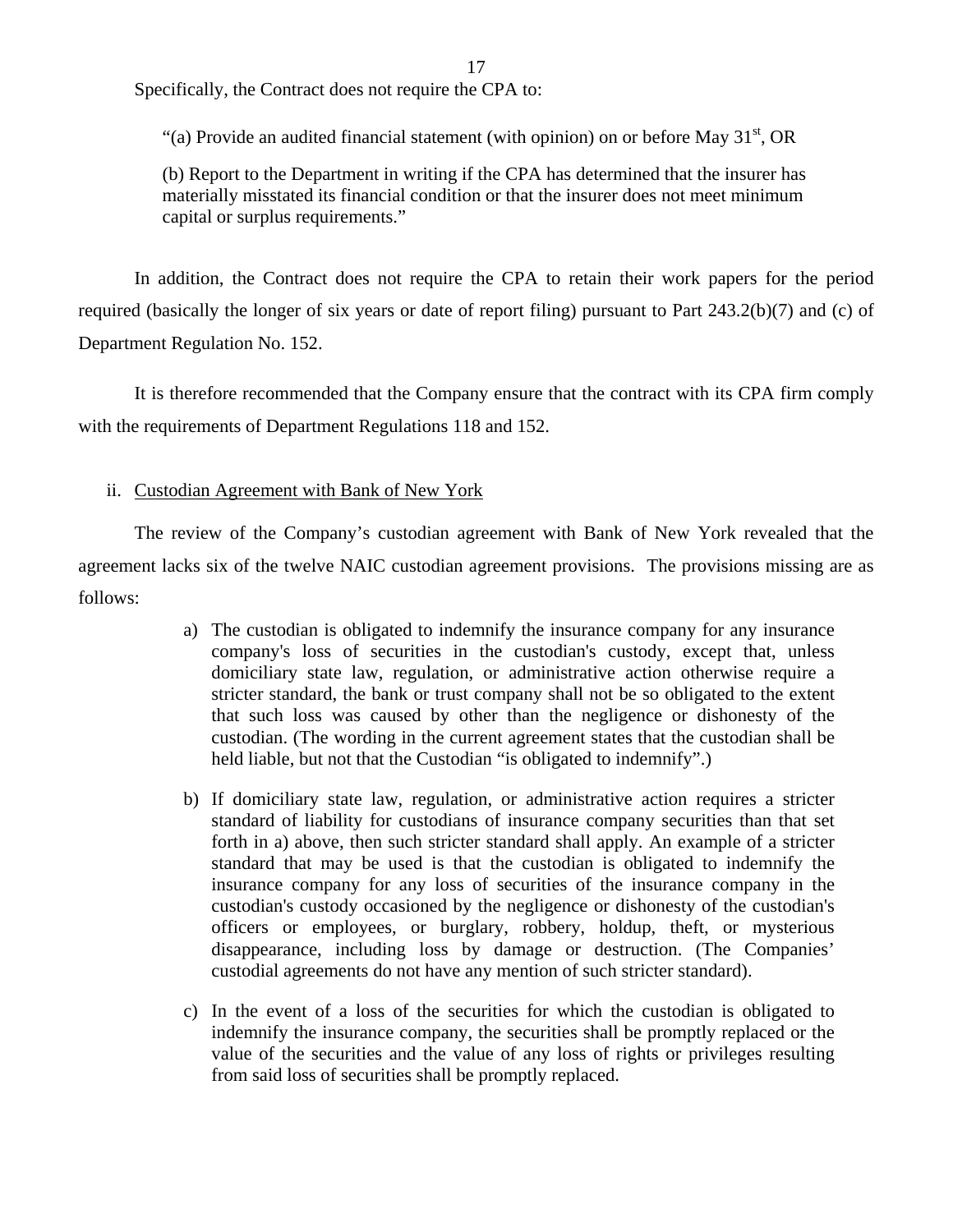17

Specifically, the Contract does not require the CPA to:

"(a) Provide an audited financial statement (with opinion) on or before May  $31<sup>st</sup>$ , OR

(b) Report to the Department in writing if the CPA has determined that the insurer has materially misstated its financial condition or that the insurer does not meet minimum capital or surplus requirements."

In addition, the Contract does not require the CPA to retain their work papers for the period required (basically the longer of six years or date of report filing) pursuant to Part 243.2(b)(7) and (c) of Department Regulation No. 152.

It is therefore recommended that the Company ensure that the contract with its CPA firm comply with the requirements of Department Regulations 118 and 152.

#### ii. Custodian Agreement with Bank of New York

The review of the Company's custodian agreement with Bank of New York revealed that the agreement lacks six of the twelve NAIC custodian agreement provisions. The provisions missing are as follows:

- a) The custodian is obligated to indemnify the insurance company for any insurance company's loss of securities in the custodian's custody, except that, unless domiciliary state law, regulation, or administrative action otherwise require a stricter standard, the bank or trust company shall not be so obligated to the extent that such loss was caused by other than the negligence or dishonesty of the custodian. (The wording in the current agreement states that the custodian shall be held liable, but not that the Custodian "is obligated to indemnify".)
- b) If domiciliary state law, regulation, or administrative action requires a stricter standard of liability for custodians of insurance company securities than that set forth in a) above, then such stricter standard shall apply. An example of a stricter standard that may be used is that the custodian is obligated to indemnify the insurance company for any loss of securities of the insurance company in the custodian's custody occasioned by the negligence or dishonesty of the custodian's officers or employees, or burglary, robbery, holdup, theft, or mysterious disappearance, including loss by damage or destruction. (The Companies' custodial agreements do not have any mention of such stricter standard).
- c) In the event of a loss of the securities for which the custodian is obligated to indemnify the insurance company, the securities shall be promptly replaced or the value of the securities and the value of any loss of rights or privileges resulting from said loss of securities shall be promptly replaced.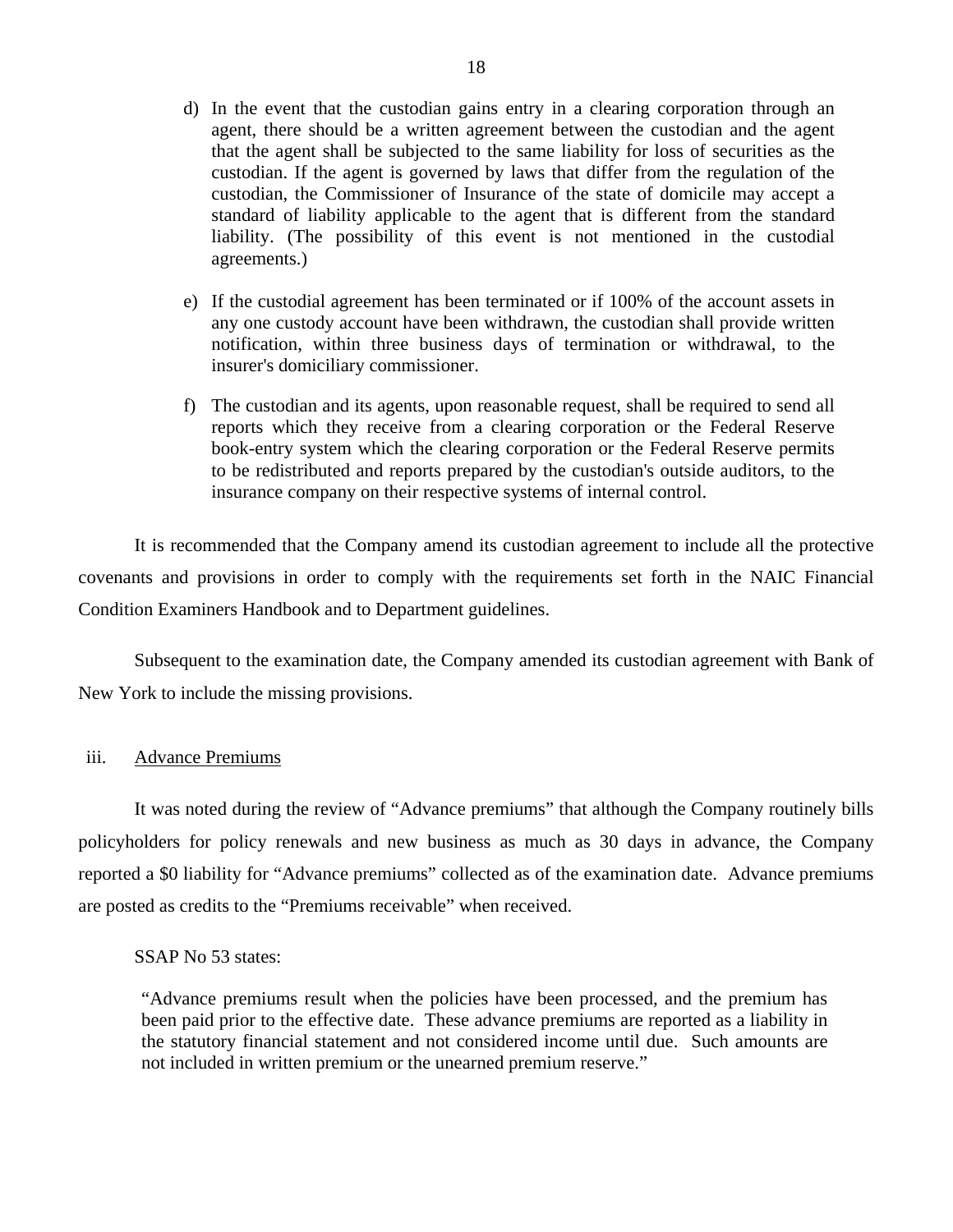- d) In the event that the custodian gains entry in a clearing corporation through an agent, there should be a written agreement between the custodian and the agent that the agent shall be subjected to the same liability for loss of securities as the custodian. If the agent is governed by laws that differ from the regulation of the custodian, the Commissioner of Insurance of the state of domicile may accept a standard of liability applicable to the agent that is different from the standard liability. (The possibility of this event is not mentioned in the custodial agreements.)
- e) If the custodial agreement has been terminated or if 100% of the account assets in any one custody account have been withdrawn, the custodian shall provide written notification, within three business days of termination or withdrawal, to the insurer's domiciliary commissioner.
- f) The custodian and its agents, upon reasonable request, shall be required to send all reports which they receive from a clearing corporation or the Federal Reserve book-entry system which the clearing corporation or the Federal Reserve permits to be redistributed and reports prepared by the custodian's outside auditors, to the insurance company on their respective systems of internal control.

It is recommended that the Company amend its custodian agreement to include all the protective covenants and provisions in order to comply with the requirements set forth in the NAIC Financial Condition Examiners Handbook and to Department guidelines.

Subsequent to the examination date, the Company amended its custodian agreement with Bank of New York to include the missing provisions.

#### iii. Advance Premiums

It was noted during the review of "Advance premiums" that although the Company routinely bills policyholders for policy renewals and new business as much as 30 days in advance, the Company reported a \$0 liability for "Advance premiums" collected as of the examination date. Advance premiums are posted as credits to the "Premiums receivable" when received.

#### SSAP No 53 states:

"Advance premiums result when the policies have been processed, and the premium has been paid prior to the effective date. These advance premiums are reported as a liability in the statutory financial statement and not considered income until due. Such amounts are not included in written premium or the unearned premium reserve."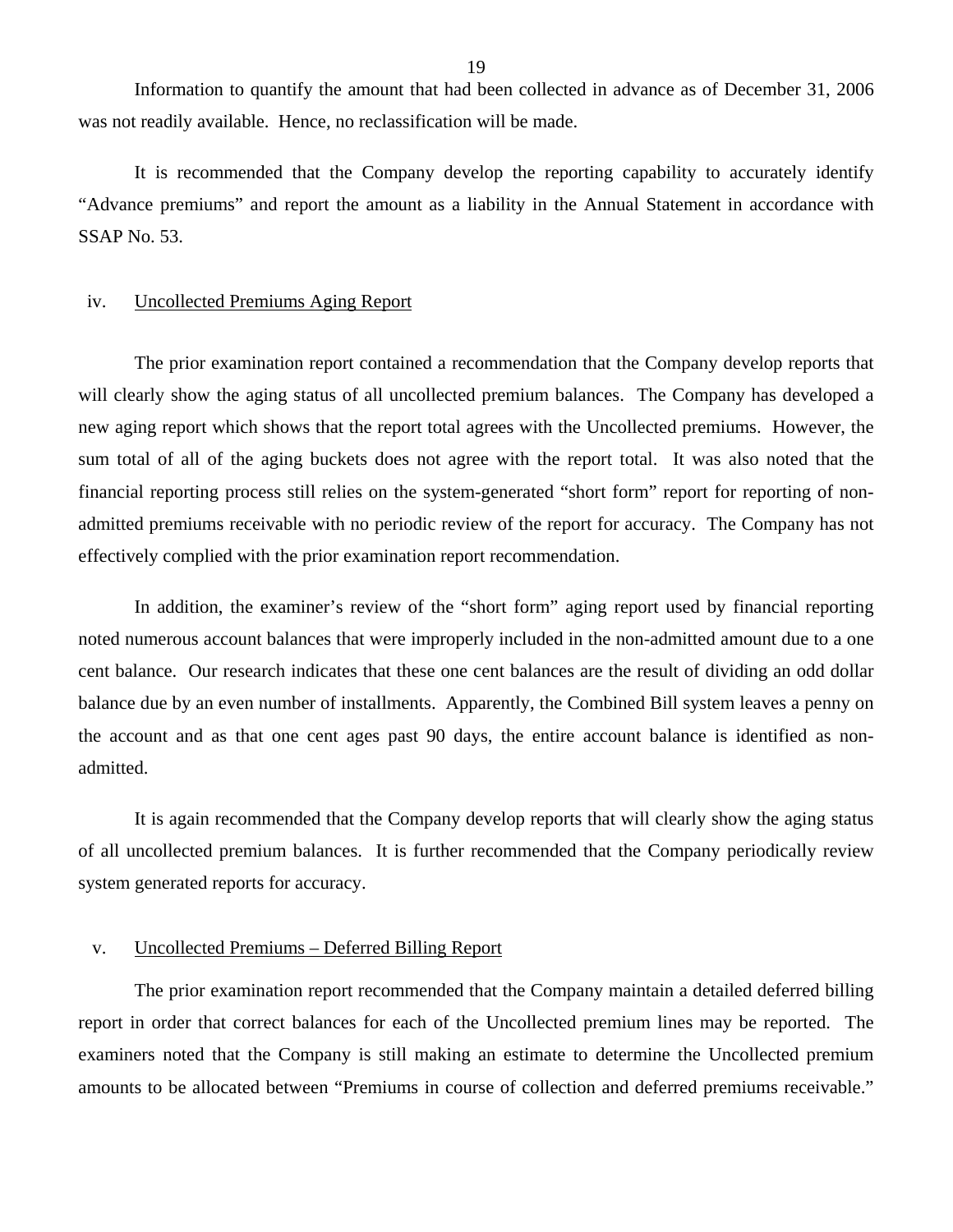Information to quantify the amount that had been collected in advance as of December 31, 2006 was not readily available. Hence, no reclassification will be made.

It is recommended that the Company develop the reporting capability to accurately identify "Advance premiums" and report the amount as a liability in the Annual Statement in accordance with SSAP No. 53.

#### iv. Uncollected Premiums Aging Report

The prior examination report contained a recommendation that the Company develop reports that will clearly show the aging status of all uncollected premium balances. The Company has developed a new aging report which shows that the report total agrees with the Uncollected premiums. However, the sum total of all of the aging buckets does not agree with the report total. It was also noted that the financial reporting process still relies on the system-generated "short form" report for reporting of nonadmitted premiums receivable with no periodic review of the report for accuracy. The Company has not effectively complied with the prior examination report recommendation.

In addition, the examiner's review of the "short form" aging report used by financial reporting noted numerous account balances that were improperly included in the non-admitted amount due to a one cent balance. Our research indicates that these one cent balances are the result of dividing an odd dollar balance due by an even number of installments. Apparently, the Combined Bill system leaves a penny on the account and as that one cent ages past 90 days, the entire account balance is identified as nonadmitted.

It is again recommended that the Company develop reports that will clearly show the aging status of all uncollected premium balances. It is further recommended that the Company periodically review system generated reports for accuracy.

#### v. Uncollected Premiums – Deferred Billing Report

The prior examination report recommended that the Company maintain a detailed deferred billing report in order that correct balances for each of the Uncollected premium lines may be reported. The examiners noted that the Company is still making an estimate to determine the Uncollected premium amounts to be allocated between "Premiums in course of collection and deferred premiums receivable."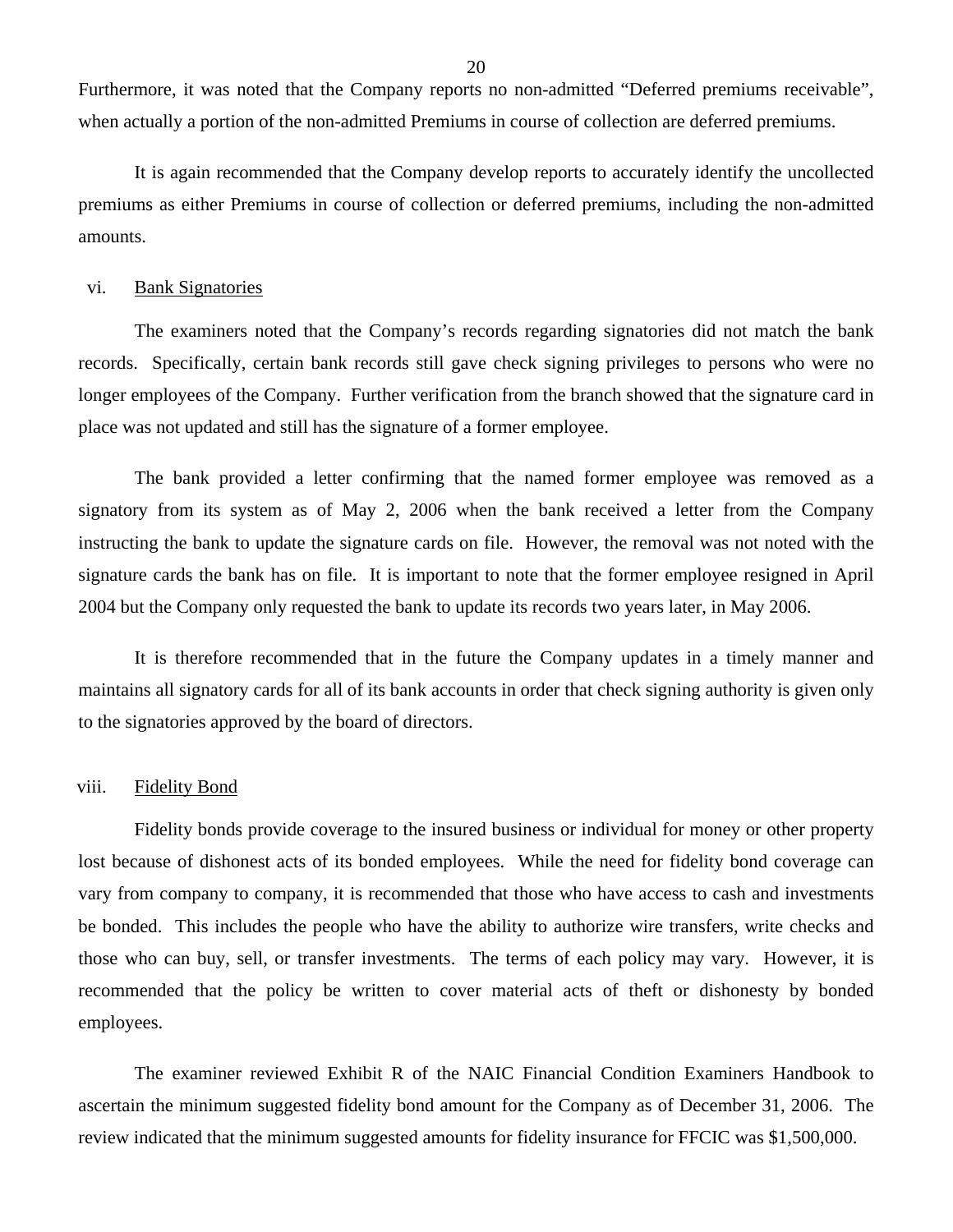Furthermore, it was noted that the Company reports no non-admitted "Deferred premiums receivable", when actually a portion of the non-admitted Premiums in course of collection are deferred premiums.

It is again recommended that the Company develop reports to accurately identify the uncollected premiums as either Premiums in course of collection or deferred premiums, including the non-admitted amounts.

#### vi. Bank Signatories

The examiners noted that the Company's records regarding signatories did not match the bank records. Specifically, certain bank records still gave check signing privileges to persons who were no longer employees of the Company. Further verification from the branch showed that the signature card in place was not updated and still has the signature of a former employee.

The bank provided a letter confirming that the named former employee was removed as a signatory from its system as of May 2, 2006 when the bank received a letter from the Company instructing the bank to update the signature cards on file. However, the removal was not noted with the signature cards the bank has on file. It is important to note that the former employee resigned in April 2004 but the Company only requested the bank to update its records two years later, in May 2006.

It is therefore recommended that in the future the Company updates in a timely manner and maintains all signatory cards for all of its bank accounts in order that check signing authority is given only to the signatories approved by the board of directors.

#### viii. Fidelity Bond

Fidelity bonds provide coverage to the insured business or individual for money or other property lost because of dishonest acts of its bonded employees. While the need for fidelity bond coverage can vary from company to company, it is recommended that those who have access to cash and investments be bonded. This includes the people who have the ability to authorize wire transfers, write checks and those who can buy, sell, or transfer investments. The terms of each policy may vary. However, it is recommended that the policy be written to cover material acts of theft or dishonesty by bonded employees.

The examiner reviewed Exhibit R of the NAIC Financial Condition Examiners Handbook to ascertain the minimum suggested fidelity bond amount for the Company as of December 31, 2006. The review indicated that the minimum suggested amounts for fidelity insurance for FFCIC was \$1,500,000.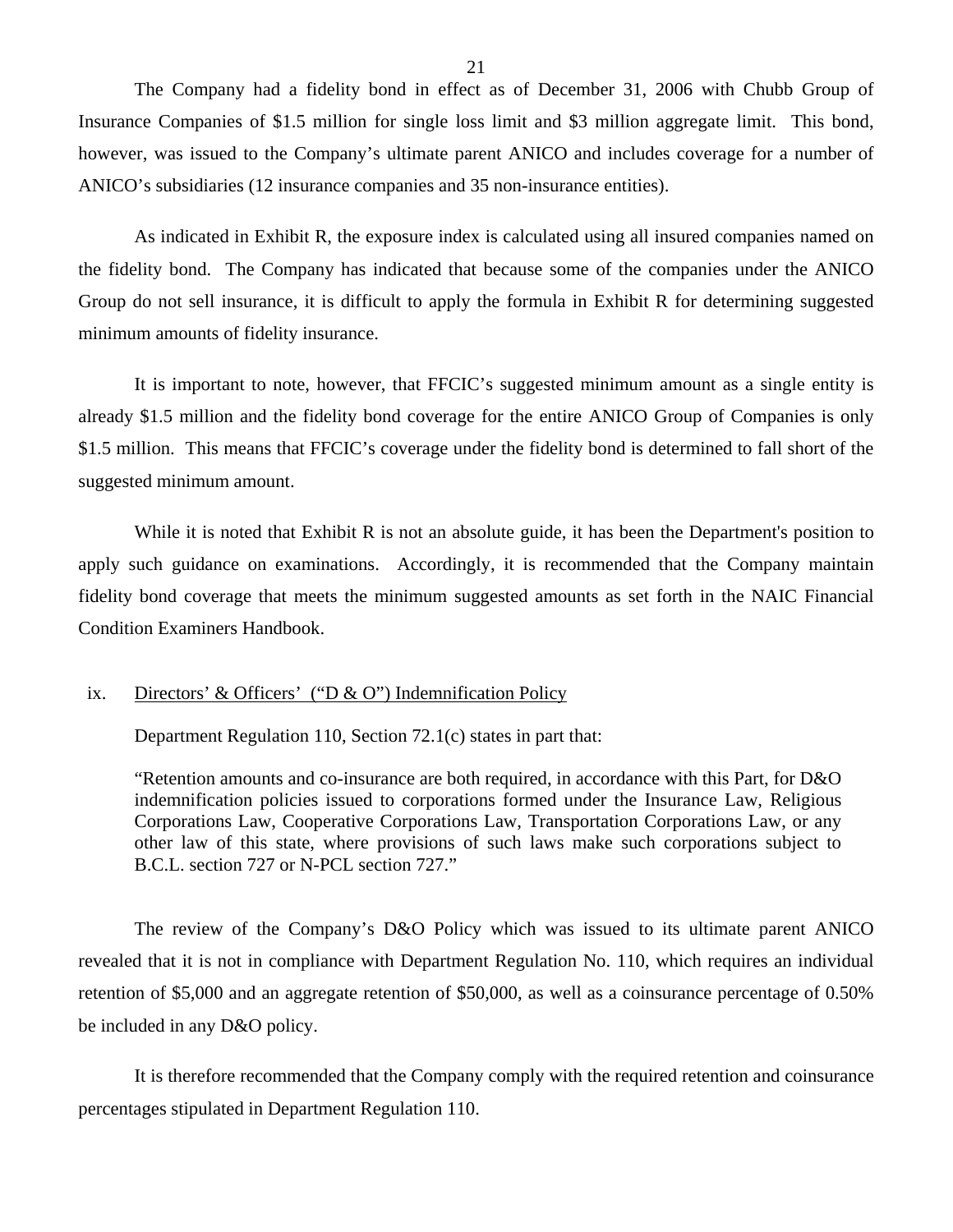The Company had a fidelity bond in effect as of December 31, 2006 with Chubb Group of Insurance Companies of \$1.5 million for single loss limit and \$3 million aggregate limit. This bond, however, was issued to the Company's ultimate parent ANICO and includes coverage for a number of ANICO's subsidiaries (12 insurance companies and 35 non-insurance entities).

As indicated in Exhibit R, the exposure index is calculated using all insured companies named on the fidelity bond. The Company has indicated that because some of the companies under the ANICO Group do not sell insurance, it is difficult to apply the formula in Exhibit R for determining suggested minimum amounts of fidelity insurance.

It is important to note, however, that FFCIC's suggested minimum amount as a single entity is already \$1.5 million and the fidelity bond coverage for the entire ANICO Group of Companies is only \$1.5 million. This means that FFCIC's coverage under the fidelity bond is determined to fall short of the suggested minimum amount.

While it is noted that Exhibit R is not an absolute guide, it has been the Department's position to apply such guidance on examinations. Accordingly, it is recommended that the Company maintain fidelity bond coverage that meets the minimum suggested amounts as set forth in the NAIC Financial Condition Examiners Handbook.

#### ix. Directors' & Officers' ("D & O") Indemnification Policy

Department Regulation 110, Section 72.1(c) states in part that:

"Retention amounts and co-insurance are both required, in accordance with this Part, for D&O indemnification policies issued to corporations formed under the Insurance Law, Religious Corporations Law, Cooperative Corporations Law, Transportation Corporations Law, or any other law of this state, where provisions of such laws make such corporations subject to B.C.L. section 727 or N-PCL section 727."

The review of the Company's D&O Policy which was issued to its ultimate parent ANICO revealed that it is not in compliance with Department Regulation No. 110, which requires an individual retention of \$5,000 and an aggregate retention of \$50,000, as well as a coinsurance percentage of 0.50% be included in any D&O policy.

It is therefore recommended that the Company comply with the required retention and coinsurance percentages stipulated in Department Regulation 110.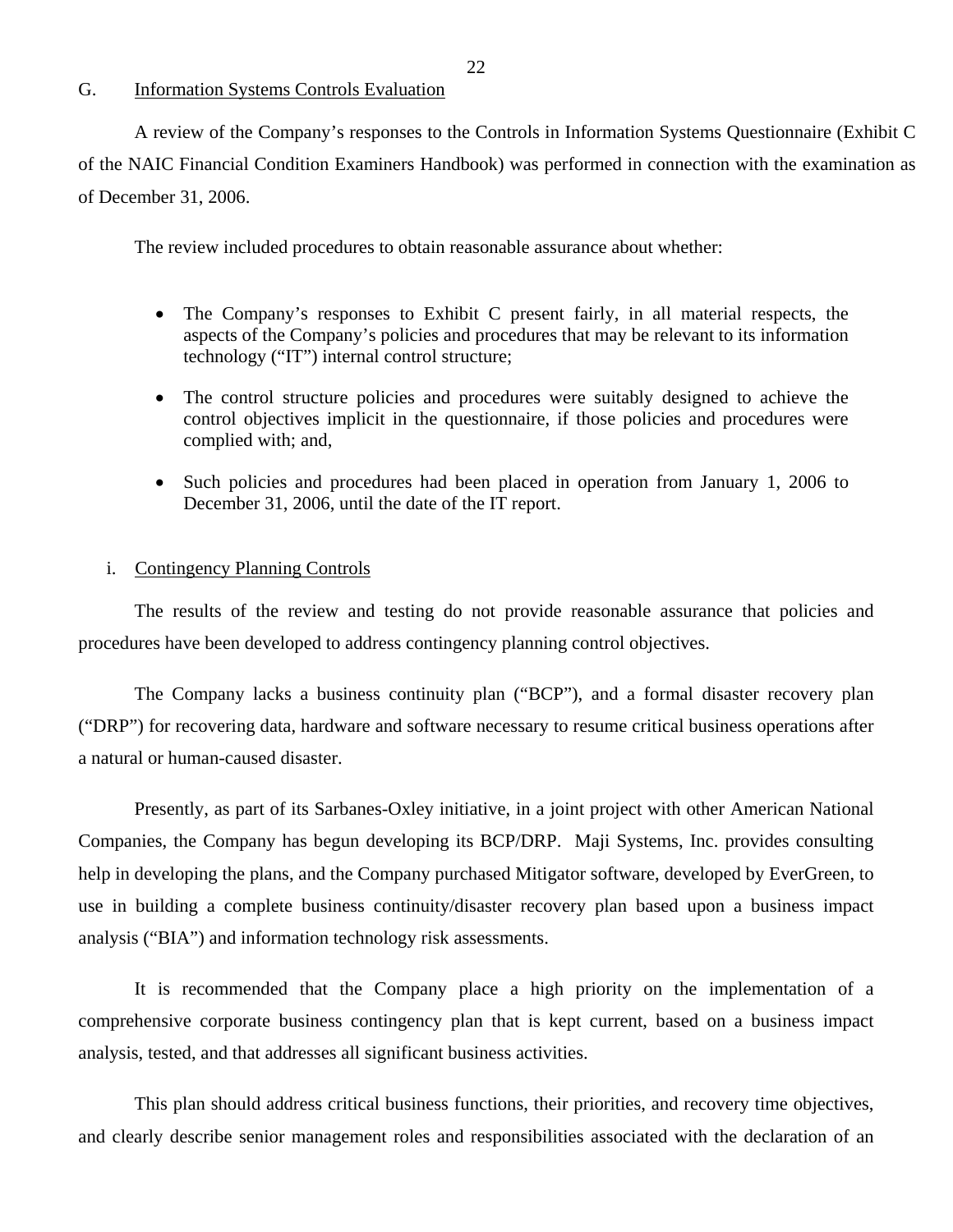#### <span id="page-23-0"></span>G. Information Systems Controls Evaluation

A review of the Company's responses to the Controls in Information Systems Questionnaire (Exhibit C of the NAIC Financial Condition Examiners Handbook) was performed in connection with the examination as of December 31, 2006.

The review included procedures to obtain reasonable assurance about whether:

- The Company's responses to Exhibit C present fairly, in all material respects, the aspects of the Company's policies and procedures that may be relevant to its information technology ("IT") internal control structure;
- The control structure policies and procedures were suitably designed to achieve the control objectives implicit in the questionnaire, if those policies and procedures were complied with; and,
- Such policies and procedures had been placed in operation from January 1, 2006 to December 31, 2006, until the date of the IT report.

#### i. Contingency Planning Controls

The results of the review and testing do not provide reasonable assurance that policies and procedures have been developed to address contingency planning control objectives.

The Company lacks a business continuity plan ("BCP"), and a formal disaster recovery plan ("DRP") for recovering data, hardware and software necessary to resume critical business operations after a natural or human-caused disaster.

Presently, as part of its Sarbanes-Oxley initiative, in a joint project with other American National Companies, the Company has begun developing its BCP/DRP. Maji Systems, Inc. provides consulting help in developing the plans, and the Company purchased Mitigator software, developed by EverGreen, to use in building a complete business continuity/disaster recovery plan based upon a business impact analysis ("BIA") and information technology risk assessments.

It is recommended that the Company place a high priority on the implementation of a comprehensive corporate business contingency plan that is kept current, based on a business impact analysis, tested, and that addresses all significant business activities.

This plan should address critical business functions, their priorities, and recovery time objectives, and clearly describe senior management roles and responsibilities associated with the declaration of an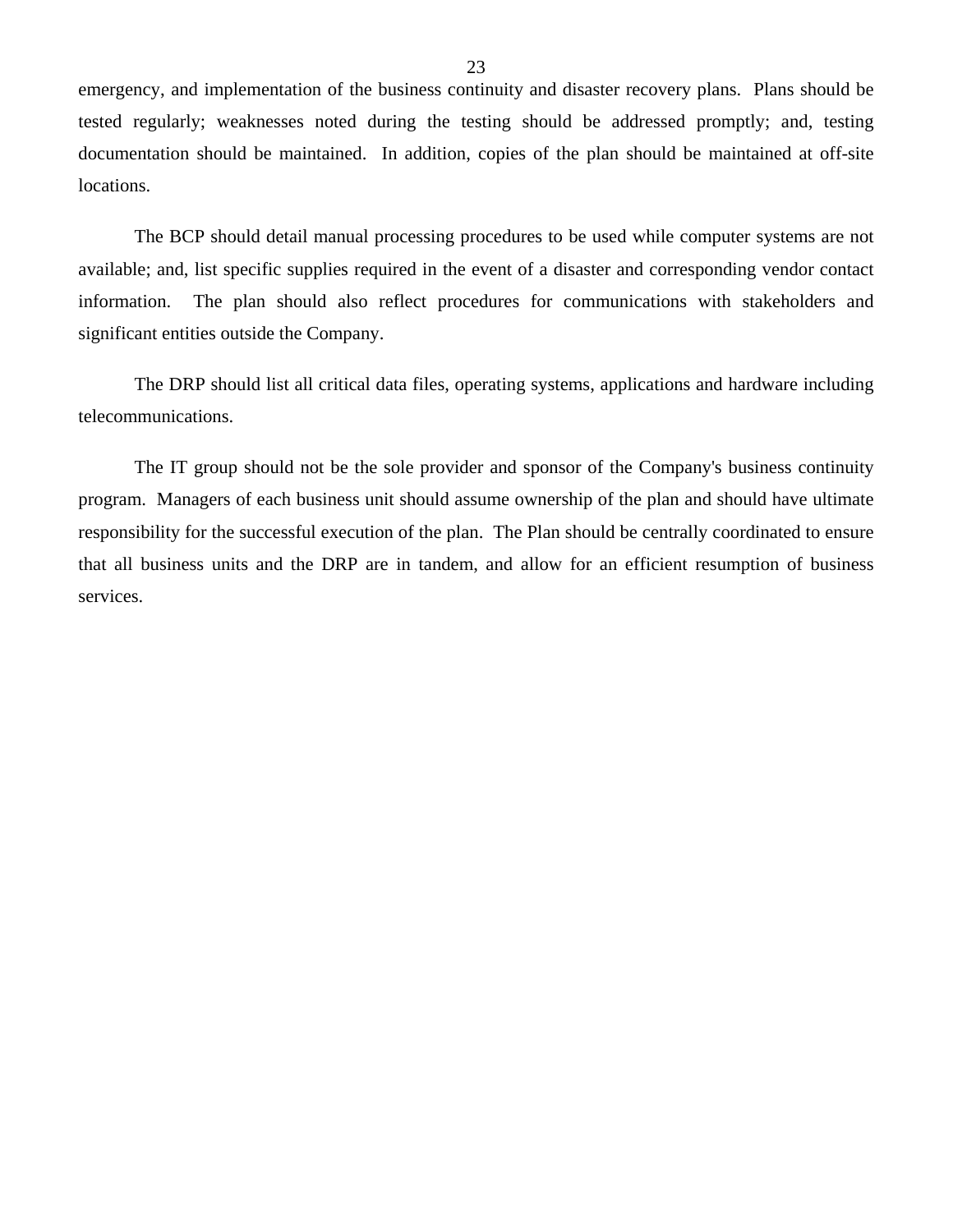emergency, and implementation of the business continuity and disaster recovery plans. Plans should be tested regularly; weaknesses noted during the testing should be addressed promptly; and, testing documentation should be maintained. In addition, copies of the plan should be maintained at off-site locations.

The BCP should detail manual processing procedures to be used while computer systems are not available; and, list specific supplies required in the event of a disaster and corresponding vendor contact information. The plan should also reflect procedures for communications with stakeholders and significant entities outside the Company.

The DRP should list all critical data files, operating systems, applications and hardware including telecommunications.

The IT group should not be the sole provider and sponsor of the Company's business continuity program. Managers of each business unit should assume ownership of the plan and should have ultimate responsibility for the successful execution of the plan. The Plan should be centrally coordinated to ensure that all business units and the DRP are in tandem, and allow for an efficient resumption of business services.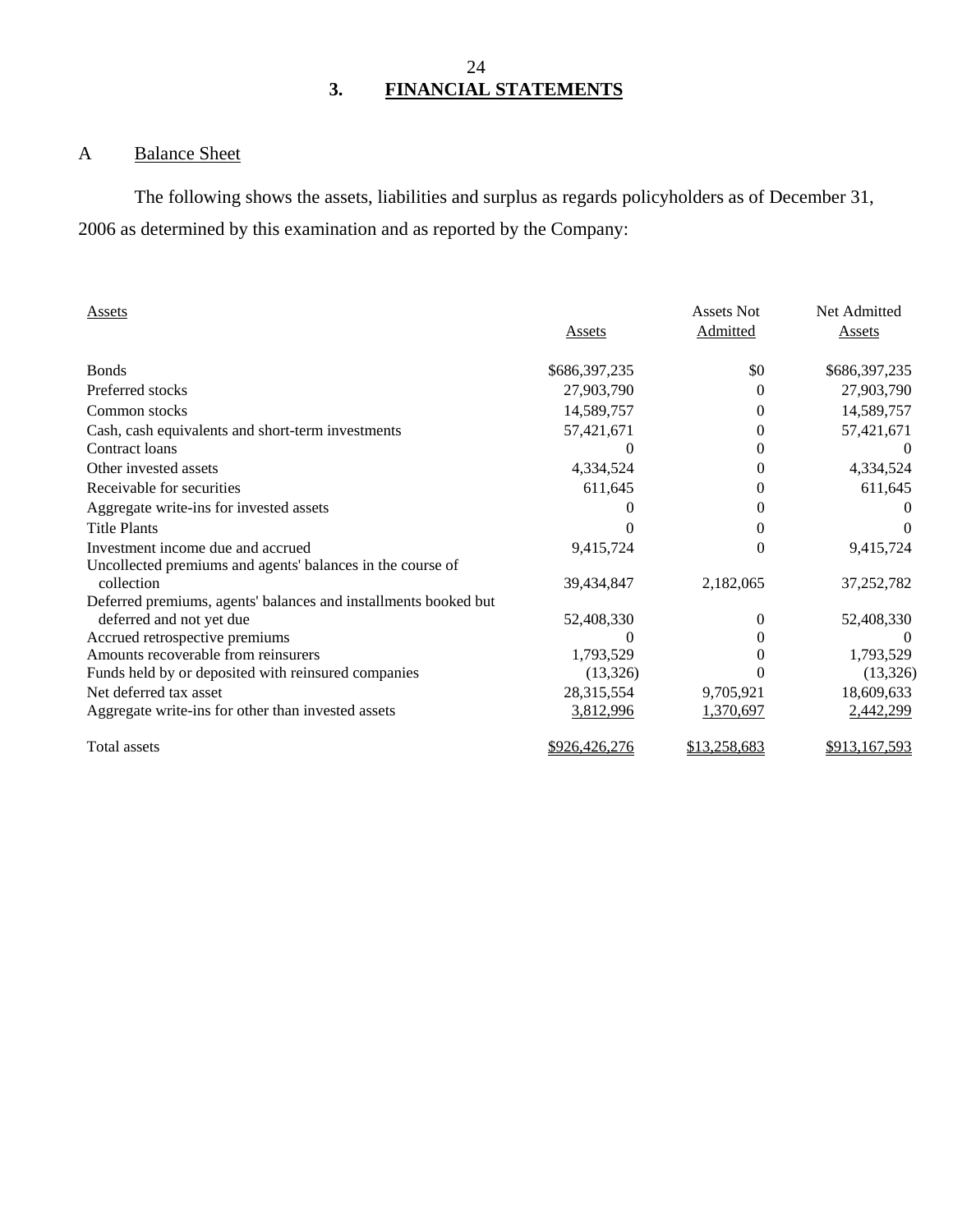# A Balance Sheet

The following shows the assets, liabilities and surplus as regards policyholders as of December 31, 2006 as determined by this examination and as reported by the Company:

| Assets                                                          |               | <b>Assets Not</b> | Net Admitted  |
|-----------------------------------------------------------------|---------------|-------------------|---------------|
|                                                                 | Assets        | Admitted          | Assets        |
| <b>Bonds</b>                                                    | \$686,397,235 | \$0               | \$686,397,235 |
| Preferred stocks                                                | 27,903,790    | 0                 | 27,903,790    |
| Common stocks                                                   | 14,589,757    | $\overline{0}$    | 14,589,757    |
| Cash, cash equivalents and short-term investments               | 57,421,671    | 0                 | 57,421,671    |
| Contract loans                                                  |               | 0                 |               |
| Other invested assets                                           | 4,334,524     | 0                 | 4,334,524     |
| Receivable for securities                                       | 611,645       | 0                 | 611,645       |
| Aggregate write-ins for invested assets                         |               | 0                 |               |
| <b>Title Plants</b>                                             |               | $\theta$          |               |
| Investment income due and accrued                               | 9,415,724     | $\boldsymbol{0}$  | 9,415,724     |
| Uncollected premiums and agents' balances in the course of      |               |                   |               |
| collection                                                      | 39,434,847    | 2,182,065         | 37,252,782    |
| Deferred premiums, agents' balances and installments booked but |               |                   |               |
| deferred and not yet due                                        | 52,408,330    | 0                 | 52,408,330    |
| Accrued retrospective premiums                                  |               | 0                 |               |
| Amounts recoverable from reinsurers                             | 1,793,529     | $_{0}$            | 1,793,529     |
| Funds held by or deposited with reinsured companies             | (13,326)      |                   | (13,326)      |
| Net deferred tax asset                                          | 28,315,554    | 9,705,921         | 18,609,633    |
| Aggregate write-ins for other than invested assets              | 3,812,996     | 1,370,697         | 2,442,299     |
| Total assets                                                    | \$926,426,276 | \$13,258,683      | \$913,167,593 |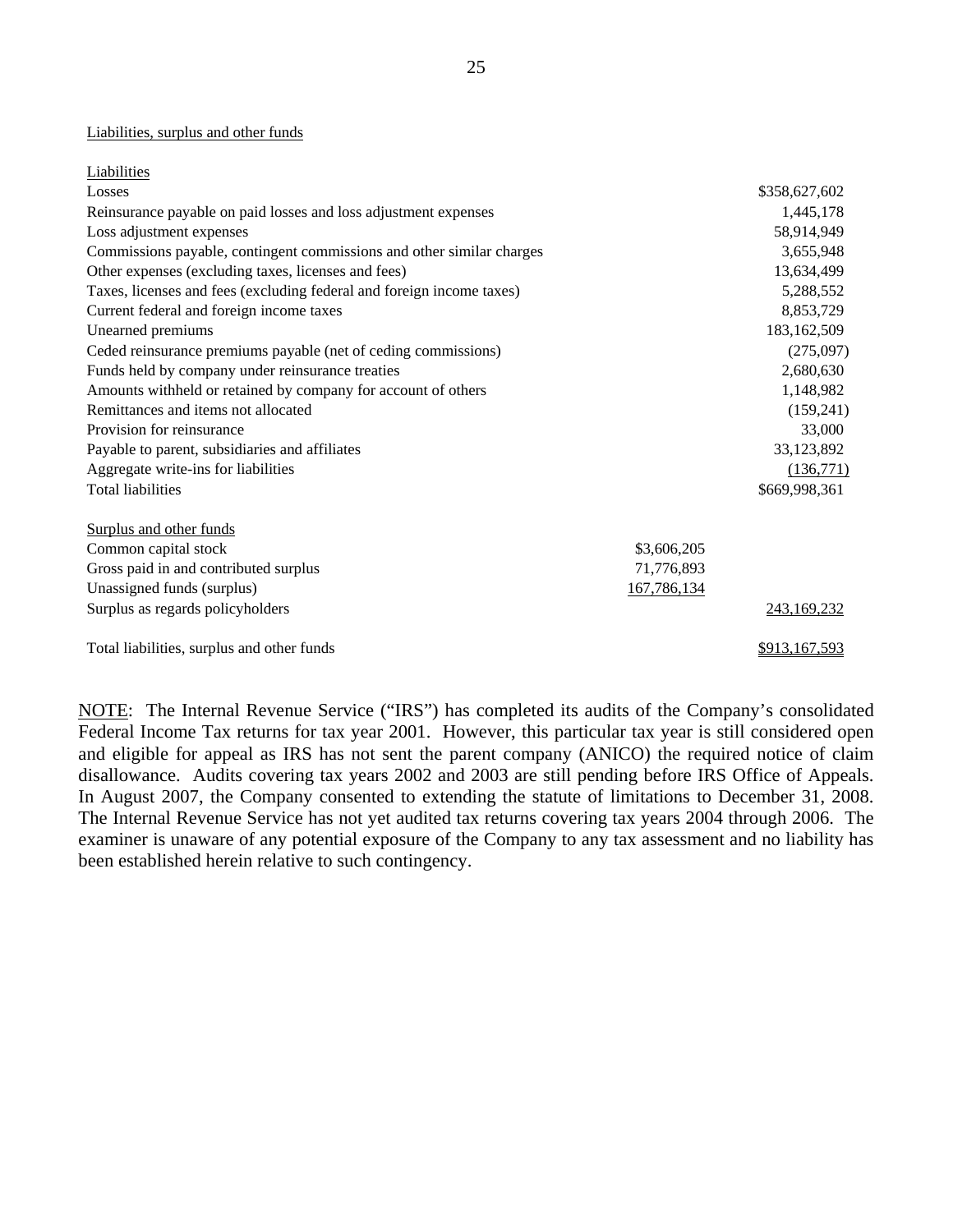#### Liabilities, surplus and other funds

| Liabilities                                                           |               |
|-----------------------------------------------------------------------|---------------|
| Losses                                                                | \$358,627,602 |
| Reinsurance payable on paid losses and loss adjustment expenses       | 1,445,178     |
| Loss adjustment expenses                                              | 58,914,949    |
| Commissions payable, contingent commissions and other similar charges | 3,655,948     |
| Other expenses (excluding taxes, licenses and fees)                   | 13,634,499    |
| Taxes, licenses and fees (excluding federal and foreign income taxes) | 5,288,552     |
| Current federal and foreign income taxes                              | 8,853,729     |
| Unearned premiums                                                     | 183, 162, 509 |
| Ceded reinsurance premiums payable (net of ceding commissions)        | (275,097)     |
| Funds held by company under reinsurance treaties                      | 2,680,630     |
| Amounts withheld or retained by company for account of others         | 1,148,982     |
| Remittances and items not allocated                                   | (159,241)     |
| Provision for reinsurance                                             | 33,000        |
| Payable to parent, subsidiaries and affiliates                        | 33,123,892    |
| Aggregate write-ins for liabilities                                   | (136,771)     |
| <b>Total liabilities</b>                                              | \$669,998,361 |
| Surplus and other funds                                               |               |
| Common capital stock<br>\$3,606,205                                   |               |
| 71,776,893<br>Gross paid in and contributed surplus                   |               |
| Unassigned funds (surplus)<br>167,786,134                             |               |
| Surplus as regards policyholders                                      | 243,169,232   |
| Total liabilities, surplus and other funds                            | \$913,167,593 |

NOTE: The Internal Revenue Service ("IRS") has completed its audits of the Company's consolidated Federal Income Tax returns for tax year 2001. However, this particular tax year is still considered open and eligible for appeal as IRS has not sent the parent company (ANICO) the required notice of claim disallowance. Audits covering tax years 2002 and 2003 are still pending before IRS Office of Appeals. In August 2007, the Company consented to extending the statute of limitations to December 31, 2008. The Internal Revenue Service has not yet audited tax returns covering tax years 2004 through 2006. The examiner is unaware of any potential exposure of the Company to any tax assessment and no liability has been established herein relative to such contingency.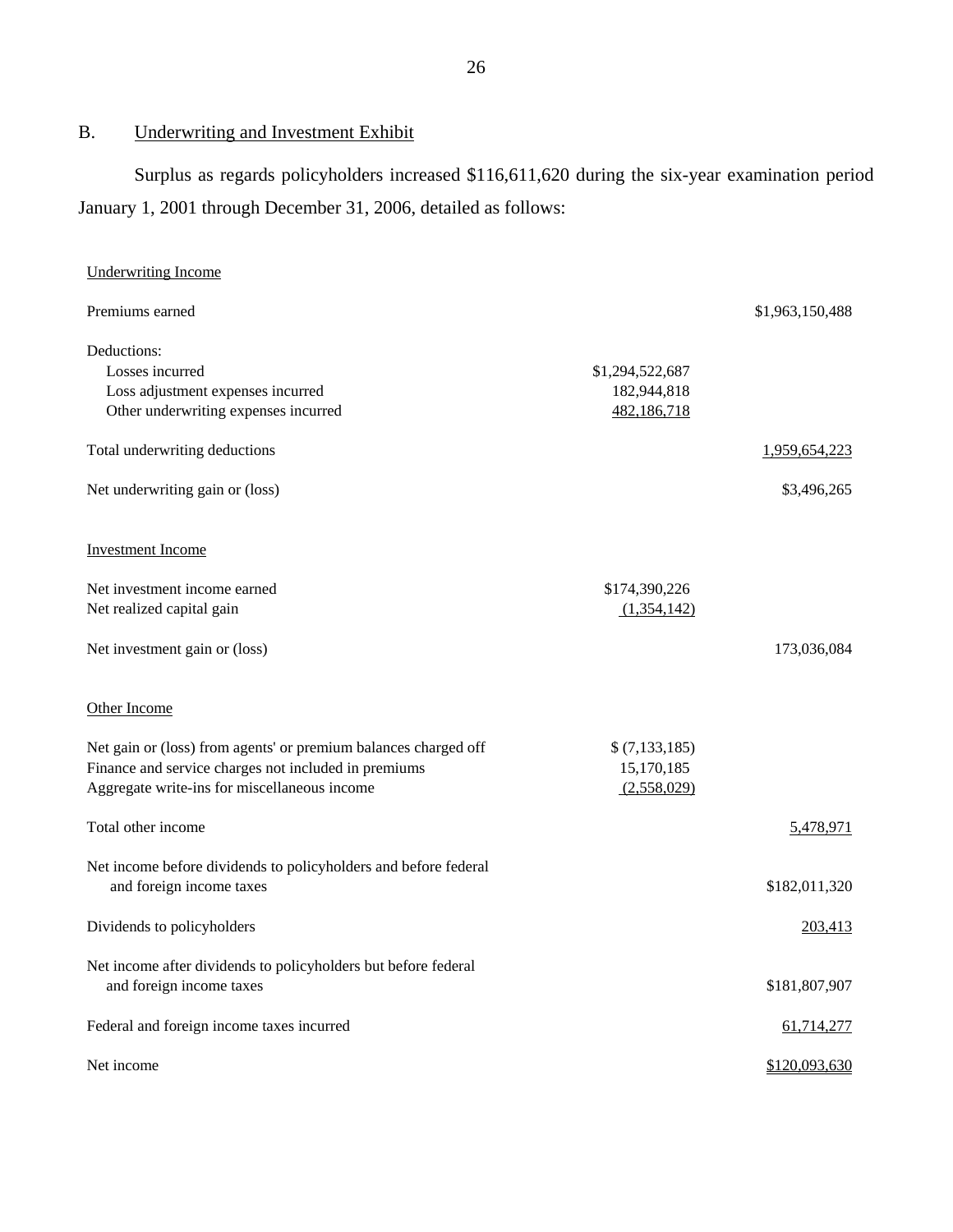# B. Underwriting and Investment Exhibit

Surplus as regards policyholders increased \$116,611,620 during the six-year examination period January 1, 2001 through December 31, 2006, detailed as follows:

| <b>Underwriting Income</b>                                                                                                                                              |                                               |                 |
|-------------------------------------------------------------------------------------------------------------------------------------------------------------------------|-----------------------------------------------|-----------------|
| Premiums earned                                                                                                                                                         |                                               | \$1,963,150,488 |
| Deductions:<br>Losses incurred<br>Loss adjustment expenses incurred<br>Other underwriting expenses incurred                                                             | \$1,294,522,687<br>182,944,818<br>482,186,718 |                 |
| Total underwriting deductions                                                                                                                                           |                                               | 1,959,654,223   |
| Net underwriting gain or (loss)                                                                                                                                         |                                               | \$3,496,265     |
| <b>Investment Income</b>                                                                                                                                                |                                               |                 |
| Net investment income earned<br>Net realized capital gain                                                                                                               | \$174,390,226<br>(1,354,142)                  |                 |
| Net investment gain or (loss)                                                                                                                                           |                                               | 173,036,084     |
| Other Income                                                                                                                                                            |                                               |                 |
| Net gain or (loss) from agents' or premium balances charged off<br>Finance and service charges not included in premiums<br>Aggregate write-ins for miscellaneous income | \$(7,133,185)<br>15,170,185<br>(2,558,029)    |                 |
| Total other income                                                                                                                                                      |                                               | 5,478,971       |
| Net income before dividends to policyholders and before federal<br>and foreign income taxes                                                                             |                                               | \$182,011,320   |
| Dividends to policyholders                                                                                                                                              |                                               | 203,413         |
| Net income after dividends to policyholders but before federal<br>and foreign income taxes                                                                              |                                               | \$181,807,907   |
| Federal and foreign income taxes incurred                                                                                                                               |                                               | 61,714,277      |
| Net income                                                                                                                                                              |                                               | \$120,093,630   |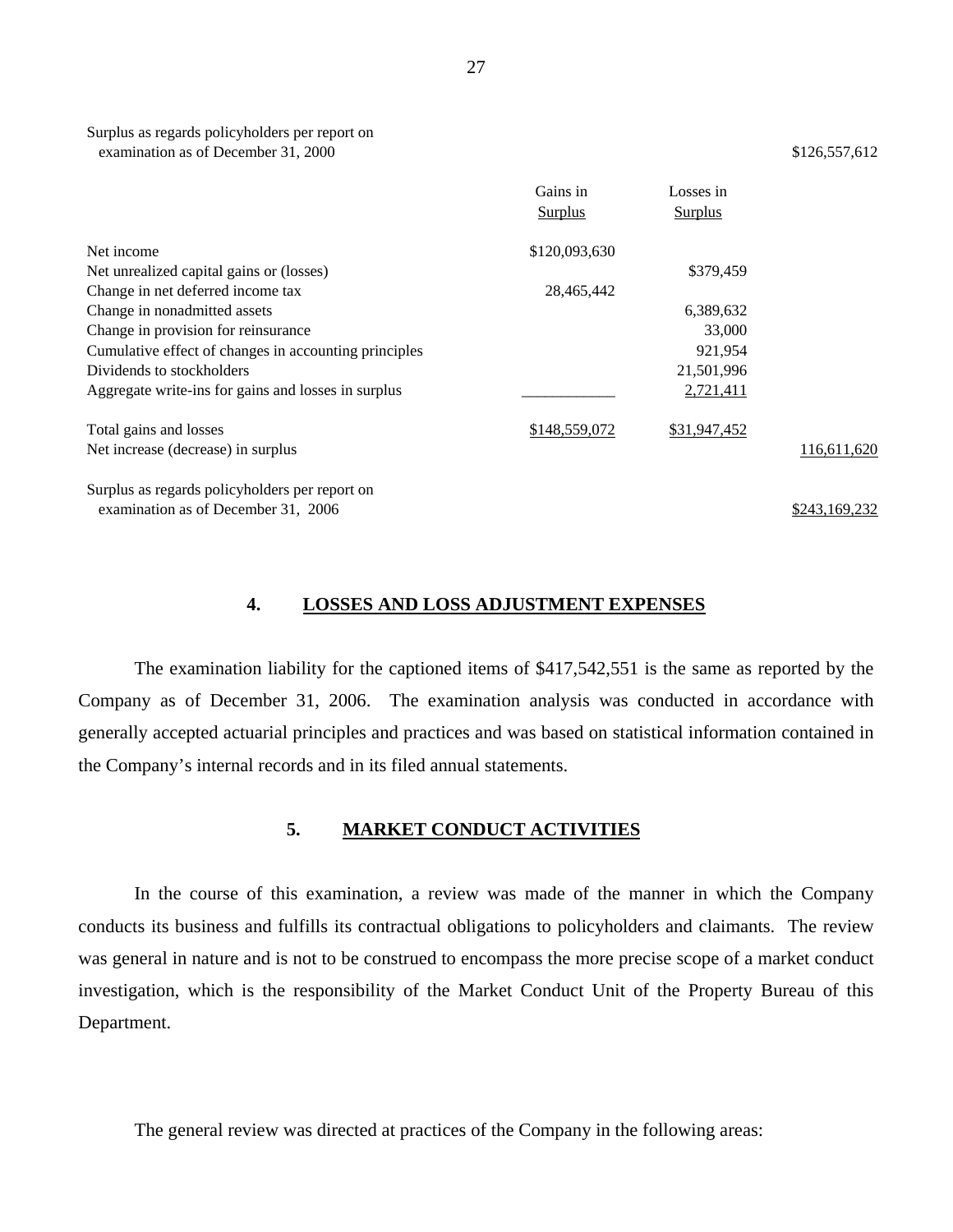|                                                       | Gains in<br>Surplus | Losses in<br><b>Surplus</b> |               |
|-------------------------------------------------------|---------------------|-----------------------------|---------------|
| Net income                                            | \$120,093,630       |                             |               |
| Net unrealized capital gains or (losses)              |                     | \$379.459                   |               |
| Change in net deferred income tax                     | 28,465,442          |                             |               |
| Change in nonadmitted assets                          |                     | 6,389,632                   |               |
| Change in provision for reinsurance                   |                     | 33,000                      |               |
| Cumulative effect of changes in accounting principles |                     | 921,954                     |               |
| Dividends to stockholders                             |                     | 21,501,996                  |               |
| Aggregate write-ins for gains and losses in surplus   |                     | 2,721,411                   |               |
| Total gains and losses                                | \$148,559,072       | \$31,947,452                |               |
| Net increase (decrease) in surplus                    |                     |                             | 116,611,620   |
| Surplus as regards policyholders per report on        |                     |                             |               |
| examination as of December 31, 2006                   |                     |                             | \$243,169,232 |

#### **4. LOSSES AND LOSS ADJUSTMENT EXPENSES**

The examination liability for the captioned items of \$417,542,551 is the same as reported by the Company as of December 31, 2006. The examination analysis was conducted in accordance with generally accepted actuarial principles and practices and was based on statistical information contained in the Company's internal records and in its filed annual statements.

#### **5. MARKET CONDUCT ACTIVITIES**

In the course of this examination, a review was made of the manner in which the Company conducts its business and fulfills its contractual obligations to policyholders and claimants. The review was general in nature and is not to be construed to encompass the more precise scope of a market conduct investigation, which is the responsibility of the Market Conduct Unit of the Property Bureau of this Department.

The general review was directed at practices of the Company in the following areas: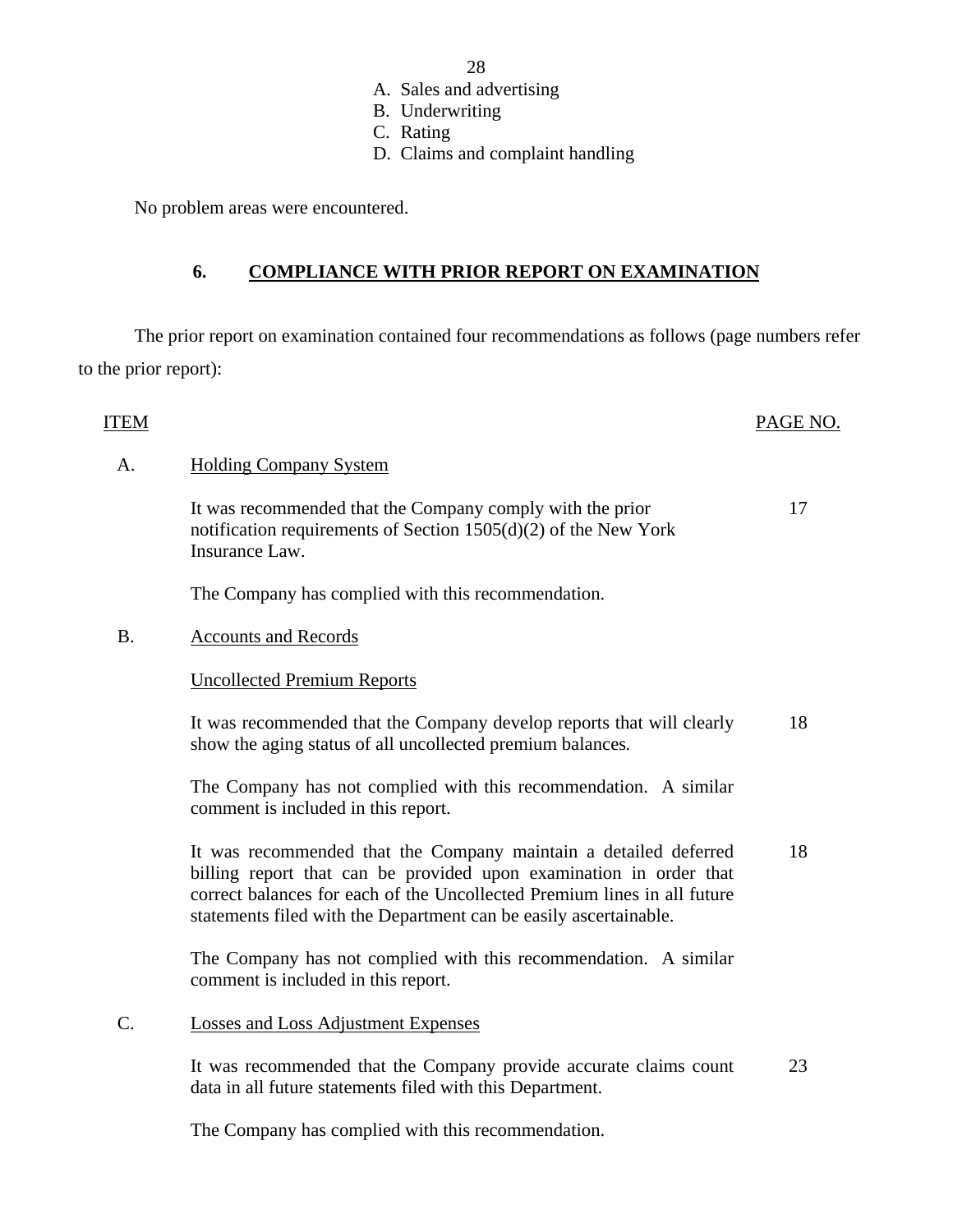- A. Sales and advertising
- B. Underwriting
- C. Rating
- D. Claims and complaint handling

No problem areas were encountered.

## **6. COMPLIANCE WITH PRIOR REPORT ON EXAMINATION**

The prior report on examination contained four recommendations as follows (page numbers refer to the prior report):

#### ITEM PAGE NO.

17

#### A. Holding Company System

It was recommended that the Company comply with the prior notification requirements of Section 1505(d)(2) of the New York Insurance Law.

The Company has complied with this recommendation.

### B. Accounts and Records

### Uncollected Premium Reports

It was recommended that the Company develop reports that will clearly show the aging status of all uncollected premium balances*.*  18

The Company has not complied with this recommendation. A similar comment is included in this report.

It was recommended that the Company maintain a detailed deferred billing report that can be provided upon examination in order that correct balances for each of the Uncollected Premium lines in all future statements filed with the Department can be easily ascertainable. 18

The Company has not complied with this recommendation. A similar comment is included in this report.

C. Losses and Loss Adjustment Expenses

It was recommended that the Company provide accurate claims count data in all future statements filed with this Department. 23

The Company has complied with this recommendation.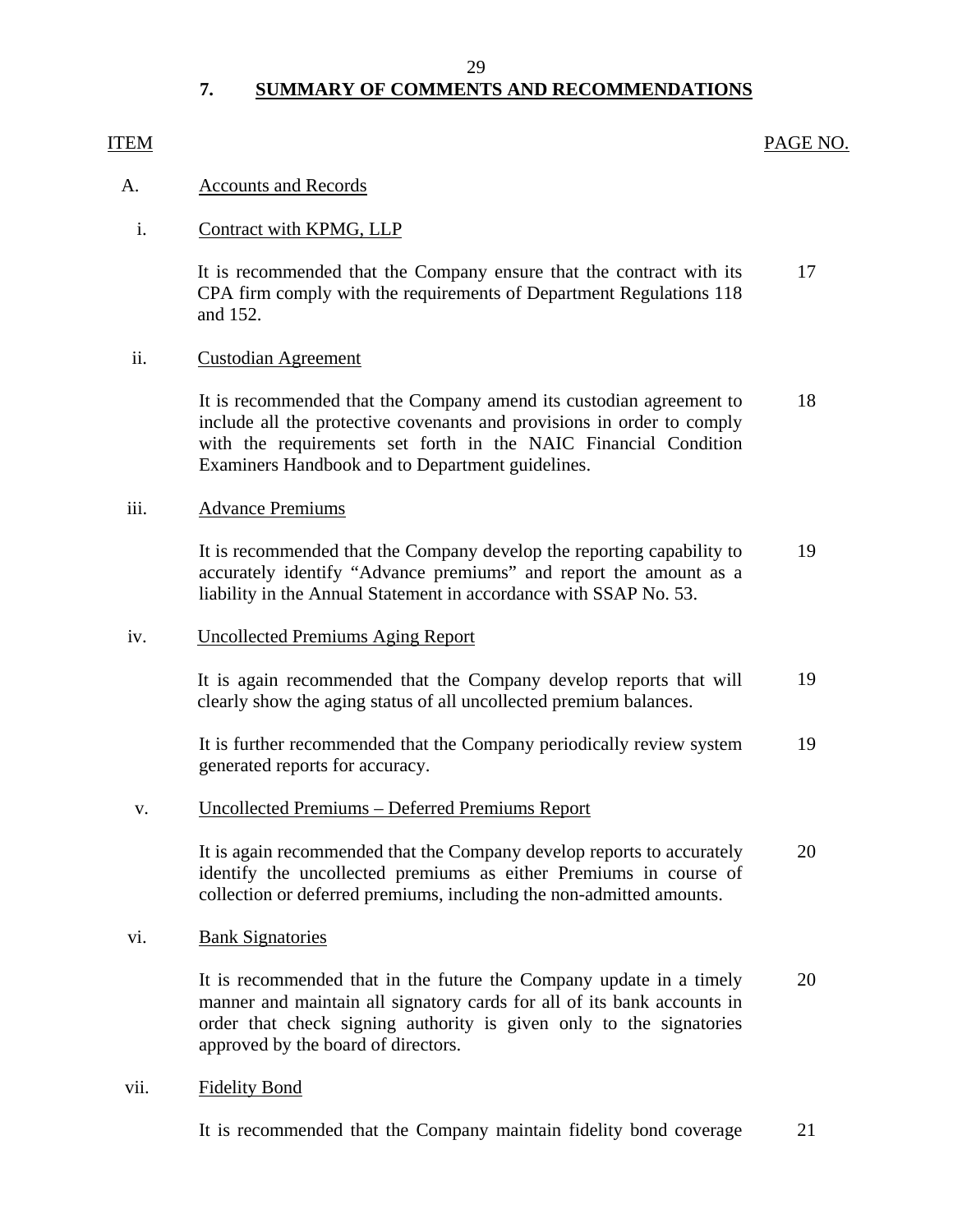#### 29

# **7. SUMMARY OF COMMENTS AND RECOMMENDATIONS**

#### <span id="page-30-0"></span>ITEM

#### PAGE NO.

#### A. Accounts and Records

#### i. Contract with KPMG, LLP

It is recommended that the Company ensure that the contract with its CPA firm comply with the requirements of Department Regulations 118 and 152. 17

#### ii. Custodian Agreement

It is recommended that the Company amend its custodian agreement to include all the protective covenants and provisions in order to comply with the requirements set forth in the NAIC Financial Condition Examiners Handbook and to Department guidelines. 18

### iii. Advance Premiums

It is recommended that the Company develop the reporting capability to accurately identify "Advance premiums" and report the amount as a liability in the Annual Statement in accordance with SSAP No. 53. 19

#### iv. Uncollected Premiums Aging Report

It is again recommended that the Company develop reports that will clearly show the aging status of all uncollected premium balances. 19

It is further recommended that the Company periodically review system generated reports for accuracy. 19

#### v. Uncollected Premiums – Deferred Premiums Report

It is again recommended that the Company develop reports to accurately identify the uncollected premiums as either Premiums in course of collection or deferred premiums, including the non-admitted amounts. 20

#### vi. Bank Signatories

It is recommended that in the future the Company update in a timely manner and maintain all signatory cards for all of its bank accounts in order that check signing authority is given only to the signatories approved by the board of directors. 20

#### vii. Fidelity Bond

It is recommended that the Company maintain fidelity bond coverage 21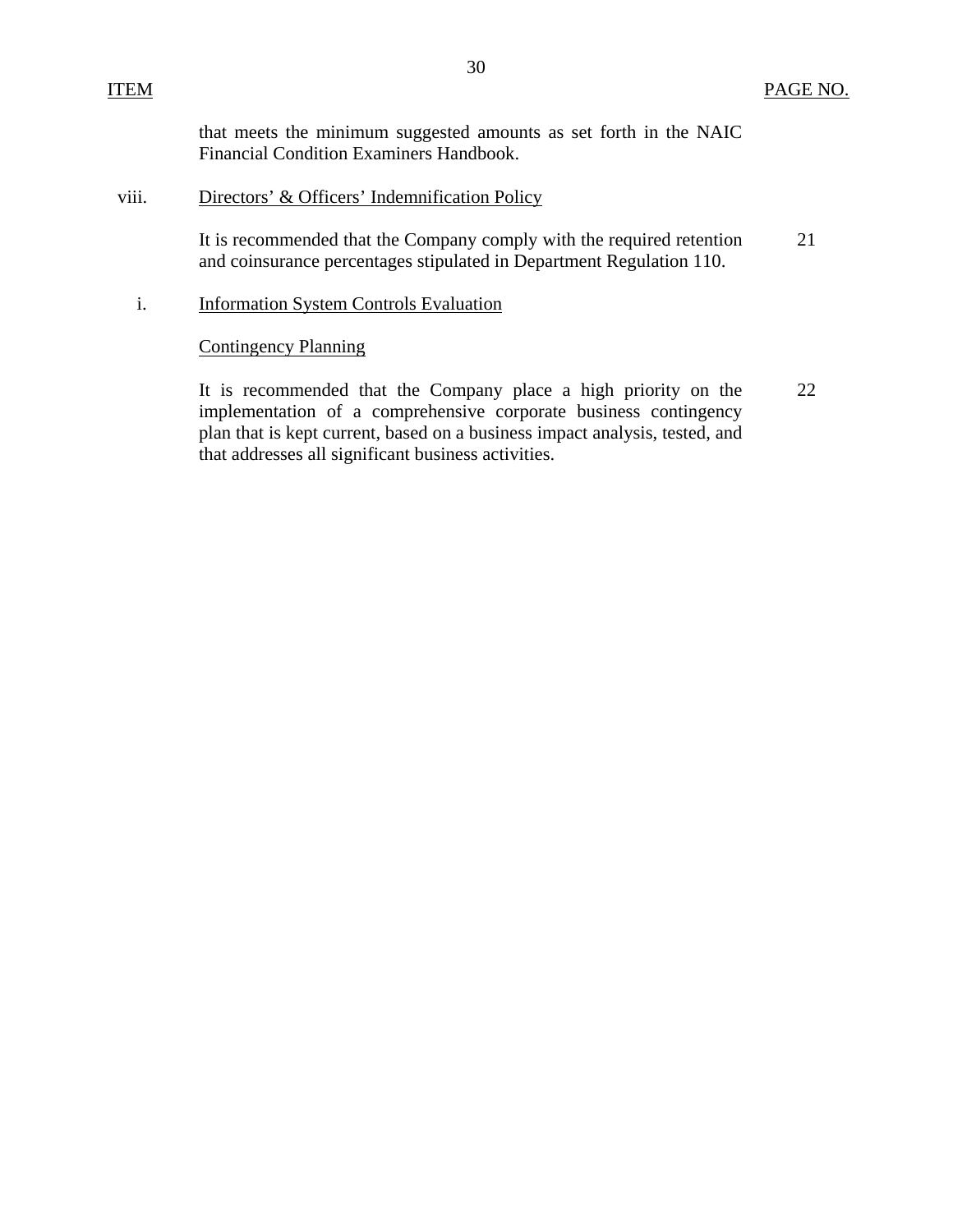that meets the minimum suggested amounts as set forth in the NAIC Financial Condition Examiners Handbook.

#### viii. Directors' & Officers' Indemnification Policy

It is recommended that the Company comply with the required retention and coinsurance percentages stipulated in Department Regulation 110. 21

### i. Information System Controls Evaluation

#### Contingency Planning

It is recommended that the Company place a high priority on the implementation of a comprehensive corporate business contingency plan that is kept current, based on a business impact analysis, tested, and that addresses all significant business activities. 22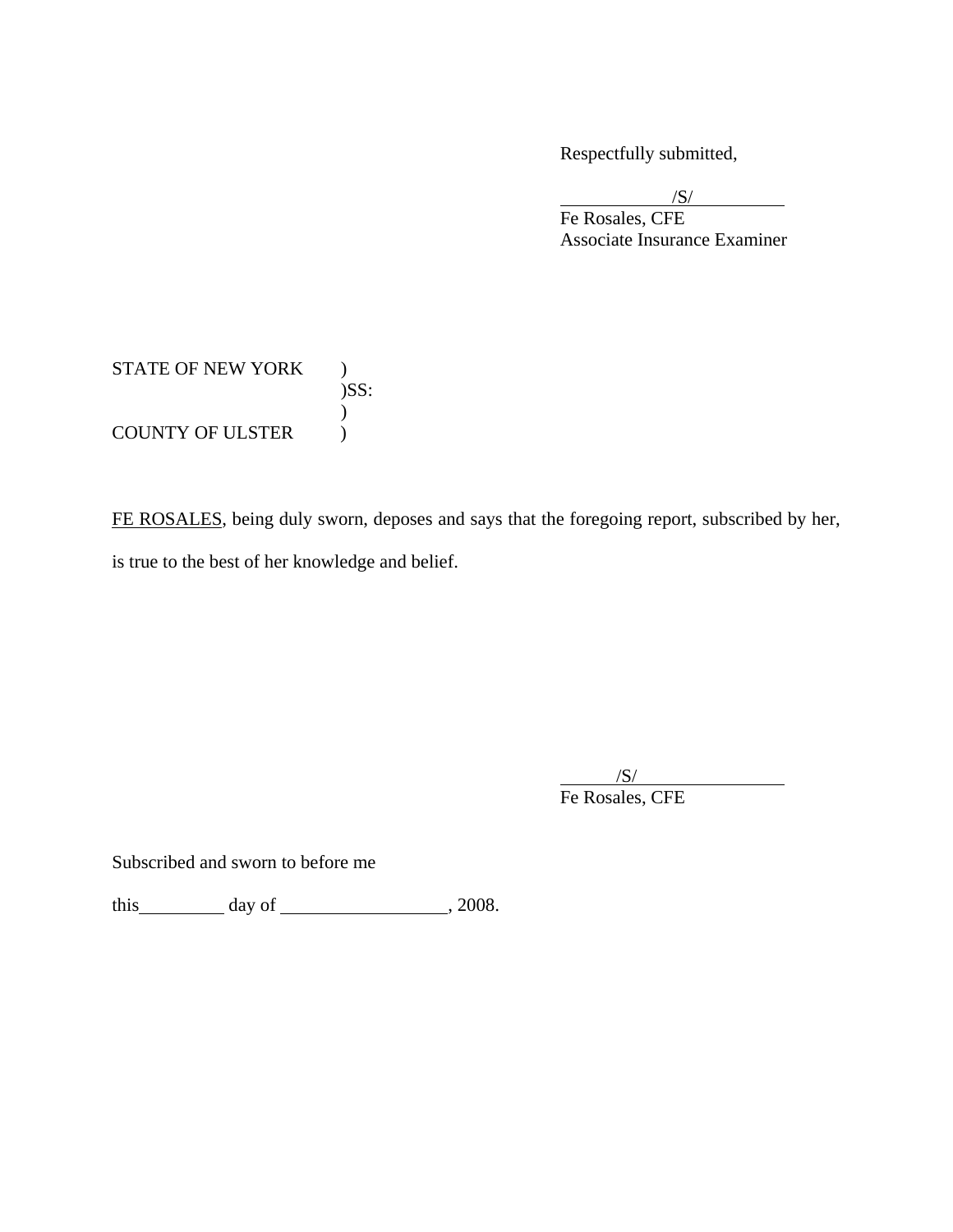Respectfully submitted,

 $\sqrt{S}$  Fe Rosales, CFE Associate Insurance Examiner

# STATE OF NEW YORK ) )SS:  $\mathcal{L}$ COUNTY OF ULSTER  $\qquad$  )

FE ROSALES, being duly sworn, deposes and says that the foregoing report, subscribed by her, is true to the best of her knowledge and belief.

 $\overline{\phantom{a}}$ /S/ Fe Rosales, CFE

Subscribed and sworn to before me

this  $\_\_\_\_\_$  day of  $\_\_\_\_\_\_$ , 2008.